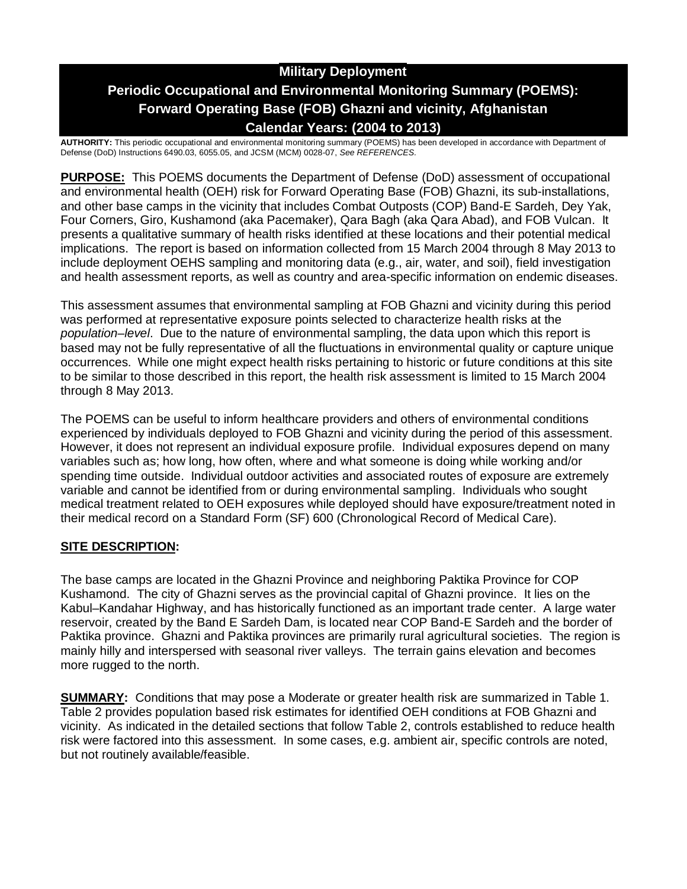# **Military Deployment Periodic Occupational and Environmental Monitoring Summary (POEMS): Forward Operating Base (FOB) Ghazni and vicinity, Afghanistan Calendar Years: (2004 to 2013)**

**AUTHORITY:** This periodic occupational and environmental monitoring summary (POEMS) has been developed in accordance with Department of Defense (DoD) Instructions 6490.03, 6055.05, and JCSM (MCM) 0028-07, *See REFERENCES.*

**PURPOSE:** This POEMS documents the Department of Defense (DoD) assessment of occupational and environmental health (OEH) risk for Forward Operating Base (FOB) Ghazni, its sub-installations, and other base camps in the vicinity that includes Combat Outposts (COP) Band-E Sardeh, Dey Yak, Four Corners, Giro, Kushamond (aka Pacemaker), Qara Bagh (aka Qara Abad), and FOB Vulcan. It presents a qualitative summary of health risks identified at these locations and their potential medical implications. The report is based on information collected from 15 March 2004 through 8 May 2013 to include deployment OEHS sampling and monitoring data (e.g., air, water, and soil), field investigation and health assessment reports, as well as country and area-specific information on endemic diseases.

This assessment assumes that environmental sampling at FOB Ghazni and vicinity during this period was performed at representative exposure points selected to characterize health risks at the *population–level*. Due to the nature of environmental sampling, the data upon which this report is based may not be fully representative of all the fluctuations in environmental quality or capture unique occurrences. While one might expect health risks pertaining to historic or future conditions at this site to be similar to those described in this report, the health risk assessment is limited to 15 March 2004 through 8 May 2013.

The POEMS can be useful to inform healthcare providers and others of environmental conditions experienced by individuals deployed to FOB Ghazni and vicinity during the period of this assessment. However, it does not represent an individual exposure profile. Individual exposures depend on many variables such as; how long, how often, where and what someone is doing while working and/or spending time outside. Individual outdoor activities and associated routes of exposure are extremely variable and cannot be identified from or during environmental sampling. Individuals who sought medical treatment related to OEH exposures while deployed should have exposure/treatment noted in their medical record on a Standard Form (SF) 600 (Chronological Record of Medical Care).

### **SITE DESCRIPTION:**

The base camps are located in the Ghazni Province and neighboring Paktika Province for COP Kushamond. The city of Ghazni serves as the provincial capital of Ghazni province. It lies on the Kabul–Kandahar Highway, and has historically functioned as an important trade center. A large water reservoir, created by the Band E Sardeh Dam, is located near COP Band-E Sardeh and the border of Paktika province. Ghazni and Paktika provinces are primarily rural agricultural societies. The region is mainly hilly and interspersed with seasonal river valleys. The terrain gains elevation and becomes more rugged to the north.

**SUMMARY:** Conditions that may pose a Moderate or greater health risk are summarized in Table 1. Table 2 provides population based risk estimates for identified OEH conditions at FOB Ghazni and vicinity. As indicated in the detailed sections that follow Table 2, controls established to reduce health risk were factored into this assessment. In some cases, e.g. ambient air, specific controls are noted, but not routinely available/feasible.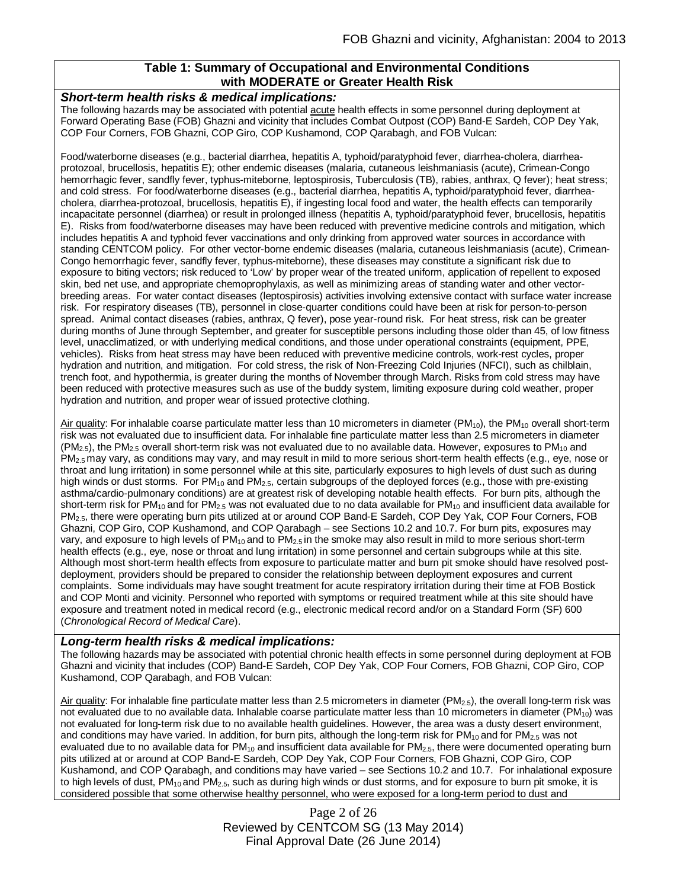### **Table 1: Summary of Occupational and Environmental Conditions with MODERATE or Greater Health Risk**

#### *Short-term health risks & medical implications:*

The following hazards may be associated with potential acute health effects in some personnel during deployment at Forward Operating Base (FOB) Ghazni and vicinity that includes Combat Outpost (COP) Band-E Sardeh, COP Dey Yak, COP Four Corners, FOB Ghazni, COP Giro, COP Kushamond, COP Qarabagh, and FOB Vulcan:

Food/waterborne diseases (e.g., bacterial diarrhea, hepatitis A, typhoid/paratyphoid fever, diarrhea-cholera, diarrheaprotozoal, brucellosis, hepatitis E); other endemic diseases (malaria, cutaneous leishmaniasis (acute), Crimean-Congo hemorrhagic fever, sandfly fever, typhus-miteborne, leptospirosis, Tuberculosis (TB), rabies, anthrax, Q fever); heat stress; and cold stress. For food/waterborne diseases (e.g., bacterial diarrhea, hepatitis A, typhoid/paratyphoid fever, diarrheacholera, diarrhea-protozoal, brucellosis, hepatitis E), if ingesting local food and water, the health effects can temporarily incapacitate personnel (diarrhea) or result in prolonged illness (hepatitis A, typhoid/paratyphoid fever, brucellosis, hepatitis E). Risks from food/waterborne diseases may have been reduced with preventive medicine controls and mitigation, which includes hepatitis A and typhoid fever vaccinations and only drinking from approved water sources in accordance with standing CENTCOM policy. For other vector-borne endemic diseases (malaria, cutaneous leishmaniasis (acute), Crimean-Congo hemorrhagic fever, sandfly fever, typhus-miteborne), these diseases may constitute a significant risk due to exposure to biting vectors; risk reduced to 'Low' by proper wear of the treated uniform, application of repellent to exposed skin, bed net use, and appropriate chemoprophylaxis, as well as minimizing areas of standing water and other vectorbreeding areas. For water contact diseases (leptospirosis) activities involving extensive contact with surface water increase risk. For respiratory diseases (TB), personnel in close-quarter conditions could have been at risk for person-to-person spread. Animal contact diseases (rabies, anthrax, Q fever), pose year-round risk. For heat stress, risk can be greater during months of June through September, and greater for susceptible persons including those older than 45, of low fitness level, unacclimatized, or with underlying medical conditions, and those under operational constraints (equipment, PPE, vehicles). Risks from heat stress may have been reduced with preventive medicine controls, work-rest cycles, proper hydration and nutrition, and mitigation. For cold stress, the risk of Non-Freezing Cold Injuries (NFCI), such as chilblain, trench foot, and hypothermia, is greater during the months of November through March. Risks from cold stress may have been reduced with protective measures such as use of the buddy system, limiting exposure during cold weather, proper hydration and nutrition, and proper wear of issued protective clothing.

Air quality: For inhalable coarse particulate matter less than 10 micrometers in diameter ( $PM_{10}$ ), the  $PM_{10}$  overall short-term risk was not evaluated due to insufficient data. For inhalable fine particulate matter less than 2.5 micrometers in diameter  $(PM<sub>2.5</sub>)$ , the PM<sub>2.5</sub> overall short-term risk was not evaluated due to no available data. However, exposures to PM<sub>10</sub> and PM<sub>2.5</sub> may vary, as conditions may vary, and may result in mild to more serious short-term health effects (e.g., eye, nose or throat and lung irritation) in some personnel while at this site, particularly exposures to high levels of dust such as during high winds or dust storms. For PM<sub>10</sub> and PM<sub>2.5</sub>, certain subgroups of the deployed forces (e.g., those with pre-existing asthma/cardio-pulmonary conditions) are at greatest risk of developing notable health effects. For burn pits, although the short-term risk for PM<sub>10</sub> and for PM<sub>2.5</sub> was not evaluated due to no data available for PM<sub>10</sub> and insufficient data available for PM2.5, there were operating burn pits utilized at or around COP Band-E Sardeh, COP Dey Yak, COP Four Corners, FOB Ghazni, COP Giro, COP Kushamond, and COP Qarabagh – see Sections 10.2 and 10.7. For burn pits, exposures may vary, and exposure to high levels of  $PM_{10}$  and to  $PM_{2.5}$  in the smoke may also result in mild to more serious short-term health effects (e.g., eye, nose or throat and lung irritation) in some personnel and certain subgroups while at this site. Although most short-term health effects from exposure to particulate matter and burn pit smoke should have resolved postdeployment, providers should be prepared to consider the relationship between deployment exposures and current complaints. Some individuals may have sought treatment for acute respiratory irritation during their time at FOB Bostick and COP Monti and vicinity. Personnel who reported with symptoms or required treatment while at this site should have exposure and treatment noted in medical record (e.g., electronic medical record and/or on a Standard Form (SF) 600 (*Chronological Record of Medical Care*).

#### *Long-term health risks & medical implications:*

The following hazards may be associated with potential chronic health effects in some personnel during deployment at FOB Ghazni and vicinity that includes (COP) Band-E Sardeh, COP Dey Yak, COP Four Corners, FOB Ghazni, COP Giro, COP Kushamond, COP Qarabagh, and FOB Vulcan:

Air quality: For inhalable fine particulate matter less than 2.5 micrometers in diameter (PM<sub>2.5</sub>), the overall long-term risk was not evaluated due to no available data. Inhalable coarse particulate matter less than 10 micrometers in diameter ( $PM_{10}$ ) was not evaluated for long-term risk due to no available health guidelines. However, the area was a dusty desert environment, and conditions may have varied. In addition, for burn pits, although the long-term risk for  $PM_{10}$  and for  $PM_{2.5}$  was not evaluated due to no available data for  $PM_{10}$  and insufficient data available for  $PM_{2.5}$ , there were documented operating burn pits utilized at or around at COP Band-E Sardeh, COP Dey Yak, COP Four Corners, FOB Ghazni, COP Giro, COP Kushamond, and COP Qarabagh, and conditions may have varied – see Sections 10.2 and 10.7. For inhalational exposure to high levels of dust,  $PM_{10}$  and  $PM_{2.5}$ , such as during high winds or dust storms, and for exposure to burn pit smoke, it is considered possible that some otherwise healthy personnel, who were exposed for a long-term period to dust and

> Page 2 of 26 Reviewed by CENTCOM SG (13 May 2014) Final Approval Date (26 June 2014)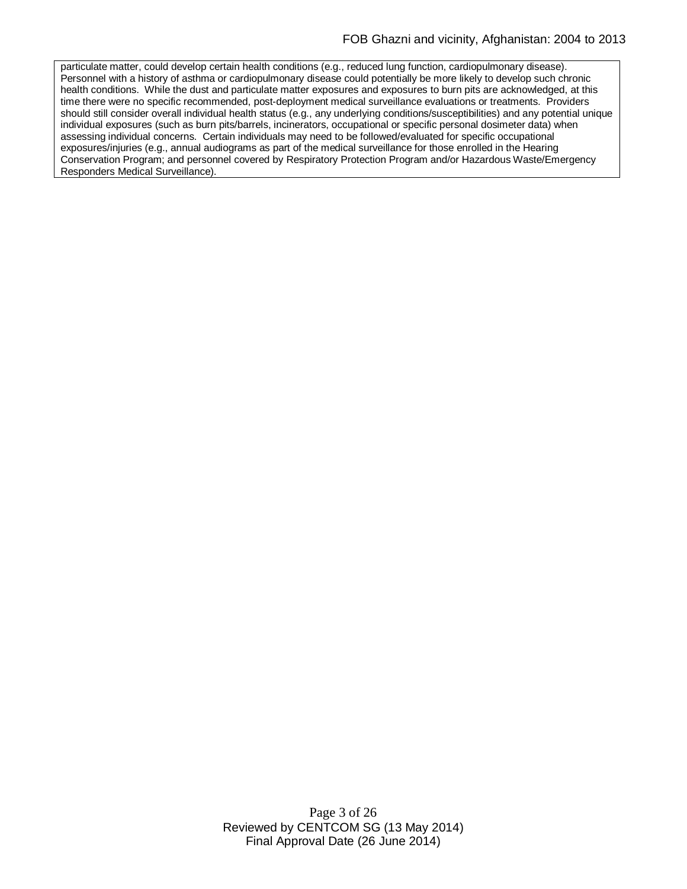particulate matter, could develop certain health conditions (e.g., reduced lung function, cardiopulmonary disease). Personnel with a history of asthma or cardiopulmonary disease could potentially be more likely to develop such chronic health conditions. While the dust and particulate matter exposures and exposures to burn pits are acknowledged, at this time there were no specific recommended, post-deployment medical surveillance evaluations or treatments. Providers should still consider overall individual health status (e.g., any underlying conditions/susceptibilities) and any potential unique individual exposures (such as burn pits/barrels, incinerators, occupational or specific personal dosimeter data) when assessing individual concerns. Certain individuals may need to be followed/evaluated for specific occupational exposures/injuries (e.g., annual audiograms as part of the medical surveillance for those enrolled in the Hearing Conservation Program; and personnel covered by Respiratory Protection Program and/or Hazardous Waste/Emergency Responders Medical Surveillance).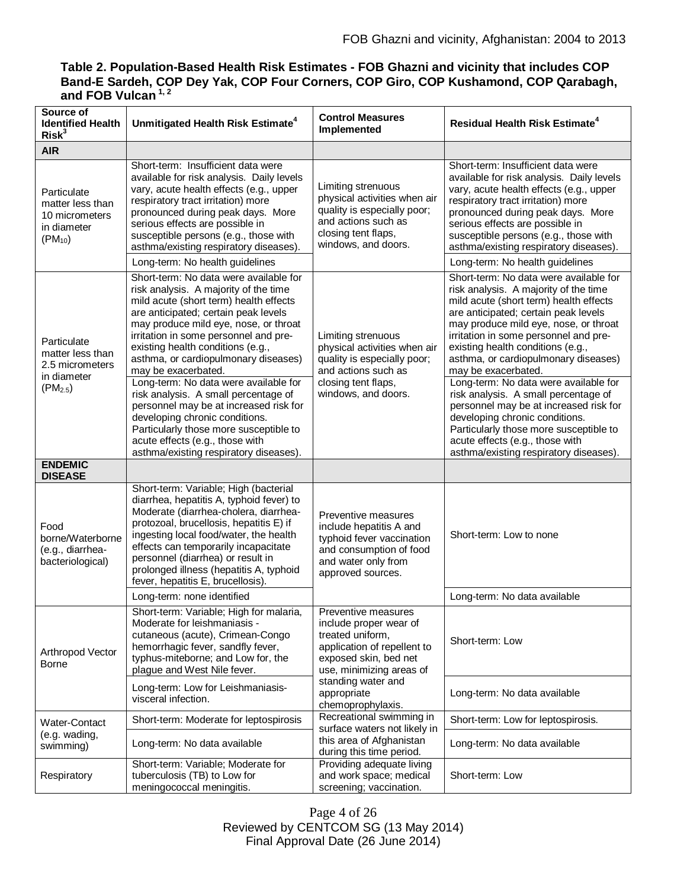# **Table 2. Population-Based Health Risk Estimates - FOB Ghazni and vicinity that includes COP Band-E Sardeh, COP Dey Yak, COP Four Corners, COP Giro, COP Kushamond, COP Qarabagh, and FOB Vulcan 1, 2**

| Source of<br><b>Identified Health</b><br>Risk <sup>3</sup>                        | Unmitigated Health Risk Estimate <sup>4</sup>                                                                                                                                                                                                                                                                                                                                                                                                                                                                                                                                                                                               | <b>Control Measures</b><br>Implemented                                                                                                                                                                          | <b>Residual Health Risk Estimate<sup>4</sup></b>                                                                                                                                                                                                                                                                                                                                                                                                                                                                                                                                                                                            |
|-----------------------------------------------------------------------------------|---------------------------------------------------------------------------------------------------------------------------------------------------------------------------------------------------------------------------------------------------------------------------------------------------------------------------------------------------------------------------------------------------------------------------------------------------------------------------------------------------------------------------------------------------------------------------------------------------------------------------------------------|-----------------------------------------------------------------------------------------------------------------------------------------------------------------------------------------------------------------|---------------------------------------------------------------------------------------------------------------------------------------------------------------------------------------------------------------------------------------------------------------------------------------------------------------------------------------------------------------------------------------------------------------------------------------------------------------------------------------------------------------------------------------------------------------------------------------------------------------------------------------------|
| <b>AIR</b>                                                                        |                                                                                                                                                                                                                                                                                                                                                                                                                                                                                                                                                                                                                                             |                                                                                                                                                                                                                 |                                                                                                                                                                                                                                                                                                                                                                                                                                                                                                                                                                                                                                             |
| Particulate<br>matter less than<br>10 micrometers<br>in diameter<br>$(PM_{10})$   | Short-term: Insufficient data were<br>available for risk analysis. Daily levels<br>vary, acute health effects (e.g., upper<br>respiratory tract irritation) more<br>pronounced during peak days. More<br>serious effects are possible in<br>susceptible persons (e.g., those with<br>asthma/existing respiratory diseases).                                                                                                                                                                                                                                                                                                                 | Limiting strenuous<br>physical activities when air<br>quality is especially poor;<br>and actions such as<br>closing tent flaps,<br>windows, and doors.                                                          | Short-term: Insufficient data were<br>available for risk analysis. Daily levels<br>vary, acute health effects (e.g., upper<br>respiratory tract irritation) more<br>pronounced during peak days. More<br>serious effects are possible in<br>susceptible persons (e.g., those with<br>asthma/existing respiratory diseases).                                                                                                                                                                                                                                                                                                                 |
|                                                                                   | Long-term: No health guidelines                                                                                                                                                                                                                                                                                                                                                                                                                                                                                                                                                                                                             |                                                                                                                                                                                                                 | Long-term: No health guidelines                                                                                                                                                                                                                                                                                                                                                                                                                                                                                                                                                                                                             |
| Particulate<br>matter less than<br>2.5 micrometers<br>in diameter<br>$(PM_{2.5})$ | Short-term: No data were available for<br>risk analysis. A majority of the time<br>mild acute (short term) health effects<br>are anticipated; certain peak levels<br>may produce mild eye, nose, or throat<br>irritation in some personnel and pre-<br>existing health conditions (e.g.,<br>asthma, or cardiopulmonary diseases)<br>may be exacerbated.<br>Long-term: No data were available for<br>risk analysis. A small percentage of<br>personnel may be at increased risk for<br>developing chronic conditions.<br>Particularly those more susceptible to<br>acute effects (e.g., those with<br>asthma/existing respiratory diseases). | Limiting strenuous<br>physical activities when air<br>quality is especially poor;<br>and actions such as<br>closing tent flaps,<br>windows, and doors.                                                          | Short-term: No data were available for<br>risk analysis. A majority of the time<br>mild acute (short term) health effects<br>are anticipated; certain peak levels<br>may produce mild eye, nose, or throat<br>irritation in some personnel and pre-<br>existing health conditions (e.g.,<br>asthma, or cardiopulmonary diseases)<br>may be exacerbated.<br>Long-term: No data were available for<br>risk analysis. A small percentage of<br>personnel may be at increased risk for<br>developing chronic conditions.<br>Particularly those more susceptible to<br>acute effects (e.g., those with<br>asthma/existing respiratory diseases). |
| <b>ENDEMIC</b><br><b>DISEASE</b>                                                  |                                                                                                                                                                                                                                                                                                                                                                                                                                                                                                                                                                                                                                             |                                                                                                                                                                                                                 |                                                                                                                                                                                                                                                                                                                                                                                                                                                                                                                                                                                                                                             |
| Food<br>borne/Waterborne<br>(e.g., diarrhea-<br>bacteriological)                  | Short-term: Variable; High (bacterial<br>diarrhea, hepatitis A, typhoid fever) to<br>Moderate (diarrhea-cholera, diarrhea-<br>protozoal, brucellosis, hepatitis E) if<br>ingesting local food/water, the health<br>effects can temporarily incapacitate<br>personnel (diarrhea) or result in<br>prolonged illness (hepatitis A, typhoid<br>fever, hepatitis E, brucellosis).                                                                                                                                                                                                                                                                | Preventive measures<br>include hepatitis A and<br>typhoid fever vaccination<br>and consumption of food<br>and water only from<br>approved sources.                                                              | Short-term: Low to none                                                                                                                                                                                                                                                                                                                                                                                                                                                                                                                                                                                                                     |
|                                                                                   | Long-term: none identified                                                                                                                                                                                                                                                                                                                                                                                                                                                                                                                                                                                                                  |                                                                                                                                                                                                                 | Long-term: No data available                                                                                                                                                                                                                                                                                                                                                                                                                                                                                                                                                                                                                |
| Arthropod Vector<br><b>Borne</b>                                                  | Short-term: Variable; High for malaria,<br>Moderate for leishmaniasis -<br>cutaneous (acute), Crimean-Congo<br>hemorrhagic fever, sandfly fever,<br>typhus-miteborne; and Low for, the<br>plague and West Nile fever.                                                                                                                                                                                                                                                                                                                                                                                                                       | Preventive measures<br>include proper wear of<br>treated uniform,<br>application of repellent to<br>exposed skin, bed net<br>use, minimizing areas of<br>standing water and<br>appropriate<br>chemoprophylaxis. | Short-term: Low                                                                                                                                                                                                                                                                                                                                                                                                                                                                                                                                                                                                                             |
|                                                                                   | Long-term: Low for Leishmaniasis-<br>visceral infection.                                                                                                                                                                                                                                                                                                                                                                                                                                                                                                                                                                                    |                                                                                                                                                                                                                 | Long-term: No data available                                                                                                                                                                                                                                                                                                                                                                                                                                                                                                                                                                                                                |
| <b>Water-Contact</b><br>(e.g. wading,<br>swimming)                                | Short-term: Moderate for leptospirosis                                                                                                                                                                                                                                                                                                                                                                                                                                                                                                                                                                                                      | Recreational swimming in<br>surface waters not likely in<br>this area of Afghanistan<br>during this time period.                                                                                                | Short-term: Low for leptospirosis.                                                                                                                                                                                                                                                                                                                                                                                                                                                                                                                                                                                                          |
|                                                                                   | Long-term: No data available                                                                                                                                                                                                                                                                                                                                                                                                                                                                                                                                                                                                                |                                                                                                                                                                                                                 | Long-term: No data available                                                                                                                                                                                                                                                                                                                                                                                                                                                                                                                                                                                                                |
| Respiratory                                                                       | Short-term: Variable; Moderate for<br>tuberculosis (TB) to Low for<br>meningococcal meningitis.                                                                                                                                                                                                                                                                                                                                                                                                                                                                                                                                             | Providing adequate living<br>and work space; medical<br>screening; vaccination.                                                                                                                                 | Short-term: Low                                                                                                                                                                                                                                                                                                                                                                                                                                                                                                                                                                                                                             |

Page 4 of 26 Reviewed by CENTCOM SG (13 May 2014) Final Approval Date (26 June 2014)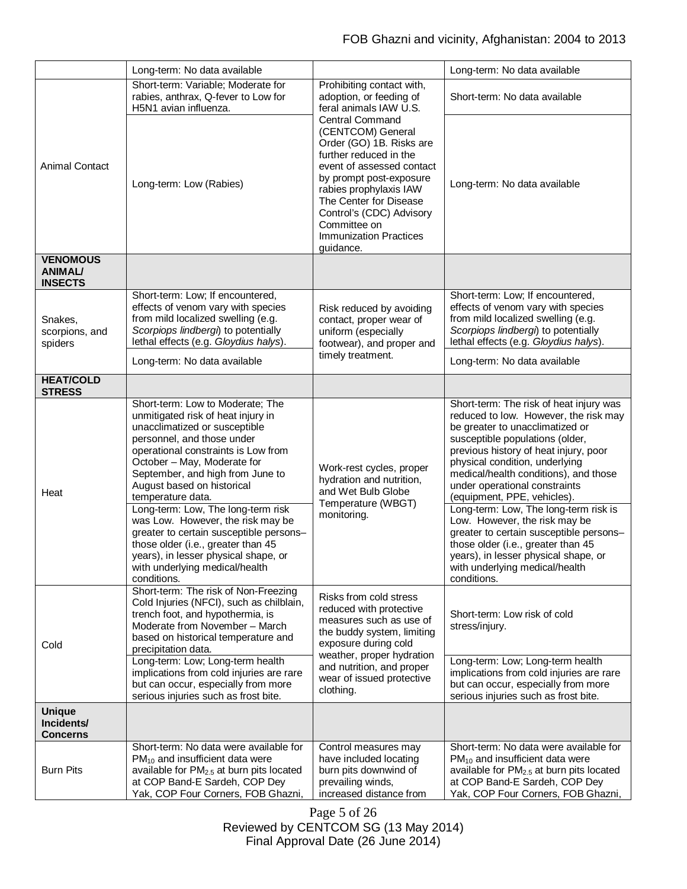|                                                     | Long-term: No data available                                                                                                                                                                                                                                                                                                                                                                                                                                                                           |                                                                                                                                                                                                                                                                                                         | Long-term: No data available                                                                                                                                                                                                                                                                                                                                                                                                                                                                                                                  |
|-----------------------------------------------------|--------------------------------------------------------------------------------------------------------------------------------------------------------------------------------------------------------------------------------------------------------------------------------------------------------------------------------------------------------------------------------------------------------------------------------------------------------------------------------------------------------|---------------------------------------------------------------------------------------------------------------------------------------------------------------------------------------------------------------------------------------------------------------------------------------------------------|-----------------------------------------------------------------------------------------------------------------------------------------------------------------------------------------------------------------------------------------------------------------------------------------------------------------------------------------------------------------------------------------------------------------------------------------------------------------------------------------------------------------------------------------------|
| <b>Animal Contact</b>                               | Short-term: Variable; Moderate for<br>rabies, anthrax, Q-fever to Low for<br>H5N1 avian influenza.                                                                                                                                                                                                                                                                                                                                                                                                     | Prohibiting contact with,<br>adoption, or feeding of<br>feral animals IAW U.S.                                                                                                                                                                                                                          | Short-term: No data available                                                                                                                                                                                                                                                                                                                                                                                                                                                                                                                 |
|                                                     | Long-term: Low (Rabies)                                                                                                                                                                                                                                                                                                                                                                                                                                                                                | <b>Central Command</b><br>(CENTCOM) General<br>Order (GO) 1B. Risks are<br>further reduced in the<br>event of assessed contact<br>by prompt post-exposure<br>rabies prophylaxis IAW<br>The Center for Disease<br>Control's (CDC) Advisory<br>Committee on<br><b>Immunization Practices</b><br>guidance. | Long-term: No data available                                                                                                                                                                                                                                                                                                                                                                                                                                                                                                                  |
| <b>VENOMOUS</b><br><b>ANIMAL/</b><br><b>INSECTS</b> |                                                                                                                                                                                                                                                                                                                                                                                                                                                                                                        |                                                                                                                                                                                                                                                                                                         |                                                                                                                                                                                                                                                                                                                                                                                                                                                                                                                                               |
|                                                     | Short-term: Low; If encountered,                                                                                                                                                                                                                                                                                                                                                                                                                                                                       |                                                                                                                                                                                                                                                                                                         | Short-term: Low; If encountered,                                                                                                                                                                                                                                                                                                                                                                                                                                                                                                              |
| Snakes,<br>scorpions, and                           | effects of venom vary with species<br>from mild localized swelling (e.g.                                                                                                                                                                                                                                                                                                                                                                                                                               | Risk reduced by avoiding<br>contact, proper wear of                                                                                                                                                                                                                                                     | effects of venom vary with species<br>from mild localized swelling (e.g.                                                                                                                                                                                                                                                                                                                                                                                                                                                                      |
|                                                     | Scorpiops lindbergi) to potentially                                                                                                                                                                                                                                                                                                                                                                                                                                                                    | uniform (especially                                                                                                                                                                                                                                                                                     | Scorpiops lindbergi) to potentially                                                                                                                                                                                                                                                                                                                                                                                                                                                                                                           |
| spiders                                             | lethal effects (e.g. Gloydius halys).                                                                                                                                                                                                                                                                                                                                                                                                                                                                  | footwear), and proper and<br>timely treatment.                                                                                                                                                                                                                                                          | lethal effects (e.g. Gloydius halys).                                                                                                                                                                                                                                                                                                                                                                                                                                                                                                         |
|                                                     | Long-term: No data available                                                                                                                                                                                                                                                                                                                                                                                                                                                                           |                                                                                                                                                                                                                                                                                                         | Long-term: No data available                                                                                                                                                                                                                                                                                                                                                                                                                                                                                                                  |
| <b>HEAT/COLD</b><br><b>STRESS</b>                   |                                                                                                                                                                                                                                                                                                                                                                                                                                                                                                        |                                                                                                                                                                                                                                                                                                         |                                                                                                                                                                                                                                                                                                                                                                                                                                                                                                                                               |
| Heat                                                | Short-term: Low to Moderate; The<br>unmitigated risk of heat injury in<br>unacclimatized or susceptible<br>personnel, and those under<br>operational constraints is Low from<br>October - May, Moderate for<br>September, and high from June to<br>August based on historical<br>temperature data.<br>Long-term: Low, The long-term risk<br>was Low. However, the risk may be<br>greater to certain susceptible persons-<br>those older (i.e., greater than 45<br>years), in lesser physical shape, or | Work-rest cycles, proper<br>hydration and nutrition,<br>and Wet Bulb Globe<br>Temperature (WBGT)<br>monitoring.                                                                                                                                                                                         | Short-term: The risk of heat injury was<br>reduced to low. However, the risk may<br>be greater to unacclimatized or<br>susceptible populations (older,<br>previous history of heat injury, poor<br>physical condition, underlying<br>medical/health conditions), and those<br>under operational constraints<br>(equipment, PPE, vehicles).<br>Long-term: Low, The long-term risk is<br>Low. However, the risk may be<br>greater to certain susceptible persons-<br>those older (i.e., greater than 45<br>years), in lesser physical shape, or |
|                                                     | with underlying medical/health<br>conditions.                                                                                                                                                                                                                                                                                                                                                                                                                                                          |                                                                                                                                                                                                                                                                                                         | with underlying medical/health<br>conditions.                                                                                                                                                                                                                                                                                                                                                                                                                                                                                                 |
| Cold                                                | Short-term: The risk of Non-Freezing<br>Cold Injuries (NFCI), such as chilblain,<br>trench foot, and hypothermia, is<br>Moderate from November - March<br>based on historical temperature and<br>precipitation data.                                                                                                                                                                                                                                                                                   | Risks from cold stress<br>reduced with protective<br>measures such as use of<br>the buddy system, limiting<br>exposure during cold<br>weather, proper hydration<br>and nutrition, and proper<br>wear of issued protective<br>clothing.                                                                  | Short-term: Low risk of cold<br>stress/injury.                                                                                                                                                                                                                                                                                                                                                                                                                                                                                                |
|                                                     | Long-term: Low; Long-term health<br>implications from cold injuries are rare<br>but can occur, especially from more<br>serious injuries such as frost bite.                                                                                                                                                                                                                                                                                                                                            |                                                                                                                                                                                                                                                                                                         | Long-term: Low; Long-term health<br>implications from cold injuries are rare<br>but can occur, especially from more<br>serious injuries such as frost bite.                                                                                                                                                                                                                                                                                                                                                                                   |
| <b>Unique</b><br>Incidents/<br><b>Concerns</b>      |                                                                                                                                                                                                                                                                                                                                                                                                                                                                                                        |                                                                                                                                                                                                                                                                                                         |                                                                                                                                                                                                                                                                                                                                                                                                                                                                                                                                               |
| <b>Burn Pits</b>                                    | Short-term: No data were available for<br>$PM_{10}$ and insufficient data were<br>available for PM2.5 at burn pits located<br>at COP Band-E Sardeh, COP Dey<br>Yak, COP Four Corners, FOB Ghazni,                                                                                                                                                                                                                                                                                                      | Control measures may<br>have included locating<br>burn pits downwind of<br>prevailing winds,<br>increased distance from                                                                                                                                                                                 | Short-term: No data were available for<br>$PM_{10}$ and insufficient data were<br>available for PM <sub>2.5</sub> at burn pits located<br>at COP Band-E Sardeh, COP Dey<br>Yak, COP Four Corners, FOB Ghazni,                                                                                                                                                                                                                                                                                                                                 |

Page 5 of 26 Reviewed by CENTCOM SG (13 May 2014) Final Approval Date (26 June 2014)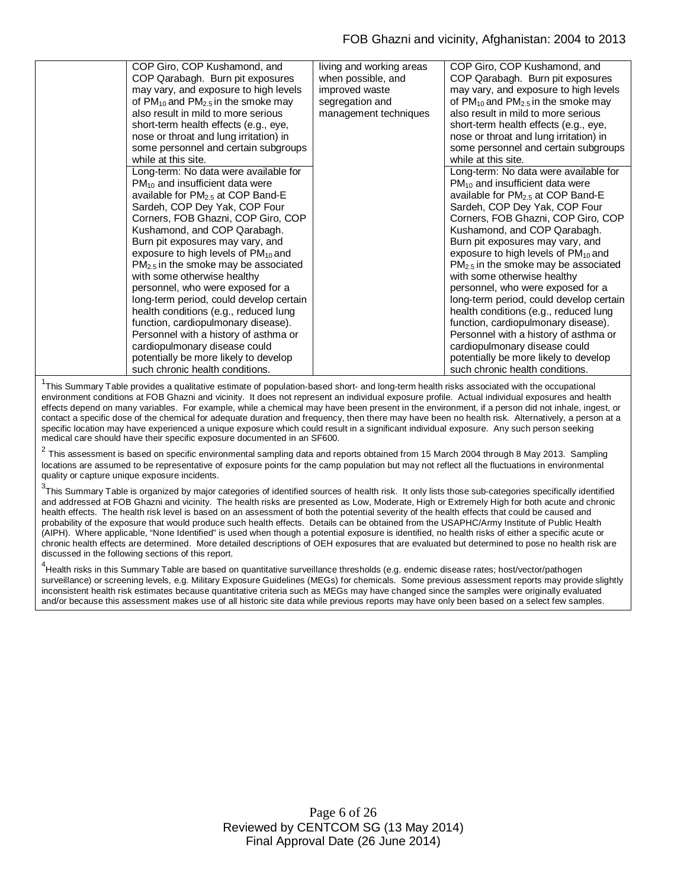| COP Giro, COP Kushamond, and                    | living and working areas | COP Giro, COP Kushamond, and                    |
|-------------------------------------------------|--------------------------|-------------------------------------------------|
| COP Qarabagh. Burn pit exposures                | when possible, and       | COP Qarabagh. Burn pit exposures                |
| may vary, and exposure to high levels           | improved waste           | may vary, and exposure to high levels           |
| of $PM_{10}$ and $PM_{2.5}$ in the smoke may    | segregation and          | of $PM_{10}$ and $PM_{2.5}$ in the smoke may    |
| also result in mild to more serious             | management techniques    | also result in mild to more serious             |
| short-term health effects (e.g., eye,           |                          | short-term health effects (e.g., eye,           |
| nose or throat and lung irritation) in          |                          | nose or throat and lung irritation) in          |
| some personnel and certain subgroups            |                          | some personnel and certain subgroups            |
| while at this site.                             |                          | while at this site.                             |
| Long-term: No data were available for           |                          | Long-term: No data were available for           |
| $PM_{10}$ and insufficient data were            |                          | $PM_{10}$ and insufficient data were            |
| available for PM <sub>2.5</sub> at COP Band-E   |                          | available for PM <sub>2.5</sub> at COP Band-E   |
| Sardeh, COP Dey Yak, COP Four                   |                          | Sardeh, COP Dey Yak, COP Four                   |
| Corners, FOB Ghazni, COP Giro, COP              |                          | Corners, FOB Ghazni, COP Giro, COP              |
| Kushamond, and COP Qarabagh.                    |                          | Kushamond, and COP Qarabagh.                    |
| Burn pit exposures may vary, and                |                          | Burn pit exposures may vary, and                |
| exposure to high levels of PM <sub>10</sub> and |                          | exposure to high levels of PM <sub>10</sub> and |
| $PM2.5$ in the smoke may be associated          |                          | $PM2.5$ in the smoke may be associated          |
| with some otherwise healthy                     |                          | with some otherwise healthy                     |
| personnel, who were exposed for a               |                          | personnel, who were exposed for a               |
| long-term period, could develop certain         |                          | long-term period, could develop certain         |
| health conditions (e.g., reduced lung           |                          | health conditions (e.g., reduced lung           |
| function, cardiopulmonary disease).             |                          | function, cardiopulmonary disease).             |
| Personnel with a history of asthma or           |                          | Personnel with a history of asthma or           |
| cardiopulmonary disease could                   |                          | cardiopulmonary disease could                   |
| potentially be more likely to develop           |                          | potentially be more likely to develop           |
| such chronic health conditions.                 |                          | such chronic health conditions.                 |

<sup>1</sup>This Summary Table provides a qualitative estimate of population-based short- and long-term health risks associated with the occupational environment conditions at FOB Ghazni and vicinity. It does not represent an individual exposure profile. Actual individual exposures and health effects depend on many variables. For example, while a chemical may have been present in the environment, if a person did not inhale, ingest, or contact a specific dose of the chemical for adequate duration and frequency, then there may have been no health risk. Alternatively, a person at a specific location may have experienced a unique exposure which could result in a significant individual exposure. Any such person seeking medical care should have their specific exposure documented in an SF600.

 $^2$  This assessment is based on specific environmental sampling data and reports obtained from 15 March 2004 through 8 May 2013. Sampling locations are assumed to be representative of exposure points for the camp population but may not reflect all the fluctuations in environmental quality or capture unique exposure incidents.

 $3$ This Summary Table is organized by major categories of identified sources of health risk. It only lists those sub-categories specifically identified and addressed at FOB Ghazni and vicinity. The health risks are presented as Low, Moderate, High or Extremely High for both acute and chronic health effects. The health risk level is based on an assessment of both the potential severity of the health effects that could be caused and probability of the exposure that would produce such health effects. Details can be obtained from the USAPHC/Army Institute of Public Health (AIPH). Where applicable, "None Identified" is used when though a potential exposure is identified, no health risks of either a specific acute or chronic health effects are determined. More detailed descriptions of OEH exposures that are evaluated but determined to pose no health risk are discussed in the following sections of this report.

<sup>4</sup><br>Health risks in this Summary Table are based on quantitative surveillance thresholds (e.g. endemic disease rates; host/vector/pathogen surveillance) or screening levels, e.g. Military Exposure Guidelines (MEGs) for chemicals*.* Some previous assessment reports may provide slightly inconsistent health risk estimates because quantitative criteria such as MEGs may have changed since the samples were originally evaluated and/or because this assessment makes use of all historic site data while previous reports may have only been based on a select few samples.

> Page 6 of 26 Reviewed by CENTCOM SG (13 May 2014) Final Approval Date (26 June 2014)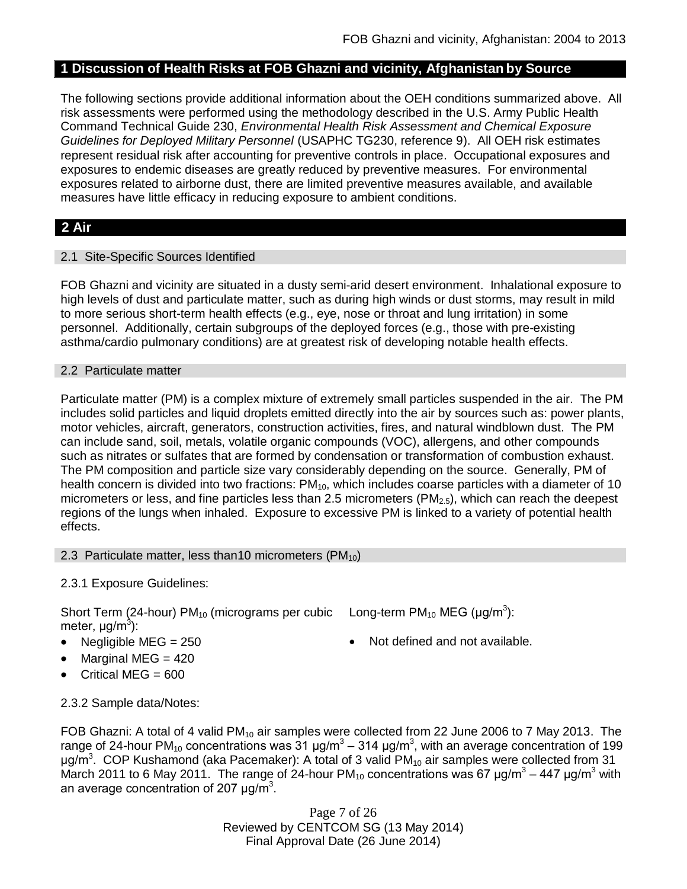# **1 Discussion of Health Risks at FOB Ghazni and vicinity, Afghanistan by Source**

The following sections provide additional information about the OEH conditions summarized above. All risk assessments were performed using the methodology described in the U.S. Army Public Health Command Technical Guide 230, *Environmental Health Risk Assessment and Chemical Exposure Guidelines for Deployed Military Personnel* (USAPHC TG230, reference 9). All OEH risk estimates represent residual risk after accounting for preventive controls in place. Occupational exposures and exposures to endemic diseases are greatly reduced by preventive measures. For environmental exposures related to airborne dust, there are limited preventive measures available, and available measures have little efficacy in reducing exposure to ambient conditions.

# **2 Air**

### 2.1 Site-Specific Sources Identified

FOB Ghazni and vicinity are situated in a dusty semi-arid desert environment. Inhalational exposure to high levels of dust and particulate matter, such as during high winds or dust storms, may result in mild to more serious short-term health effects (e.g., eye, nose or throat and lung irritation) in some personnel. Additionally, certain subgroups of the deployed forces (e.g., those with pre-existing asthma/cardio pulmonary conditions) are at greatest risk of developing notable health effects.

#### 2.2 Particulate matter

Particulate matter (PM) is a complex mixture of extremely small particles suspended in the air. The PM includes solid particles and liquid droplets emitted directly into the air by sources such as: power plants, motor vehicles, aircraft, generators, construction activities, fires, and natural windblown dust. The PM can include sand, soil, metals, volatile organic compounds (VOC), allergens, and other compounds such as nitrates or sulfates that are formed by condensation or transformation of combustion exhaust. The PM composition and particle size vary considerably depending on the source. Generally, PM of health concern is divided into two fractions:  $PM_{10}$ , which includes coarse particles with a diameter of 10 micrometers or less, and fine particles less than 2.5 micrometers ( $PM<sub>2.5</sub>$ ), which can reach the deepest regions of the lungs when inhaled. Exposure to excessive PM is linked to a variety of potential health effects.

#### 2.3 Particulate matter, less than10 micrometers  $(PM_{10})$

### 2.3.1 Exposure Guidelines:

Short Term (24-hour) PM<sub>10</sub> (micrograms per cubic Long-term PM<sub>10</sub> MEG (µg/m<sup>3</sup>): meter, μg/m<sup>3</sup>):

- Negligible  $MEG = 250$   $\bullet$  Not defined and not available.
- Marginal MEG = 420
- Critical MEG =  $600$

2.3.2 Sample data/Notes:

FOB Ghazni: A total of 4 valid  $PM_{10}$  air samples were collected from 22 June 2006 to 7 May 2013. The range of 24-hour PM<sub>10</sub> concentrations was 31 μg/m<sup>3</sup> – 314 μg/m<sup>3</sup>, with an average concentration of 199 μg/m<sup>3</sup>. COP Kushamond (aka Pacemaker): A total of 3 valid PM<sub>10</sub> air samples were collected from 31 March 2011 to 6 May 2011. The range of 24-hour PM<sub>10</sub> concentrations was 67  $\mu$ g/m<sup>3</sup> – 447  $\mu$ g/m<sup>3</sup> with an average concentration of 207  $\mu$ g/m<sup>3</sup>.

> Page 7 of 26 Reviewed by CENTCOM SG (13 May 2014) Final Approval Date (26 June 2014)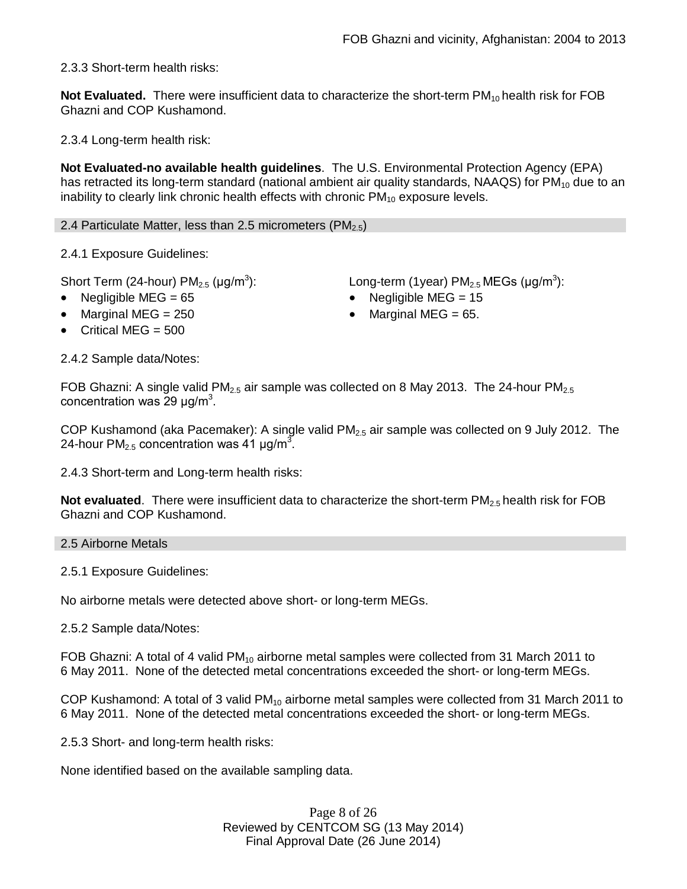2.3.3 Short-term health risks:

**Not Evaluated.** There were insufficient data to characterize the short-term PM<sub>10</sub> health risk for FOB Ghazni and COP Kushamond.

2.3.4 Long-term health risk:

**Not Evaluated-no available health guidelines**. The U.S. Environmental Protection Agency (EPA) has retracted its long-term standard (national ambient air quality standards, NAAQS) for  $PM_{10}$  due to an inability to clearly link chronic health effects with chronic  $PM_{10}$  exposure levels.

2.4 Particulate Matter, less than 2.5 micrometers (PM $_{2.5}$ )

2.4.1 Exposure Guidelines:

Short Term (24-hour) PM $_{2.5}$  (µg/m $^3$ 

- 
- 
- Critical MFG  $=$  500

2.4.2 Sample data/Notes:

):  $\qquad \qquad \textsf{Long-term (1year) PM}_{2.5} \, \textsf{MEGs (}\mu\textsf{g/m}^3\textsf{)}\textsf{:}$ 

- Negligible MEG = 65 Negligible MEG = 15
- Marginal MEG =  $250$   $\bullet$  Marginal MEG =  $65$ .

FOB Ghazni: A single valid PM<sub>2.5</sub> air sample was collected on 8 May 2013. The 24-hour PM<sub>2.5</sub> concentration was 29  $\mu$ g/m<sup>3</sup>.

COP Kushamond (aka Pacemaker): A single valid  $PM_{2.5}$  air sample was collected on 9 July 2012. The 24-hour PM<sub>2.5</sub> concentration was 41  $\mu$ g/m<sup>3</sup>.

2.4.3 Short-term and Long-term health risks:

**Not evaluated**. There were insufficient data to characterize the short-term PM<sub>2.5</sub> health risk for FOB Ghazni and COP Kushamond.

2.5 Airborne Metals

2.5.1 Exposure Guidelines:

No airborne metals were detected above short- or long-term MEGs.

2.5.2 Sample data/Notes:

FOB Ghazni: A total of 4 valid PM<sub>10</sub> airborne metal samples were collected from 31 March 2011 to 6 May 2011. None of the detected metal concentrations exceeded the short- or long-term MEGs.

COP Kushamond: A total of 3 valid  $PM_{10}$  airborne metal samples were collected from 31 March 2011 to 6 May 2011. None of the detected metal concentrations exceeded the short- or long-term MEGs.

2.5.3 Short- and long-term health risks:

None identified based on the available sampling data.

Page 8 of 26 Reviewed by CENTCOM SG (13 May 2014) Final Approval Date (26 June 2014)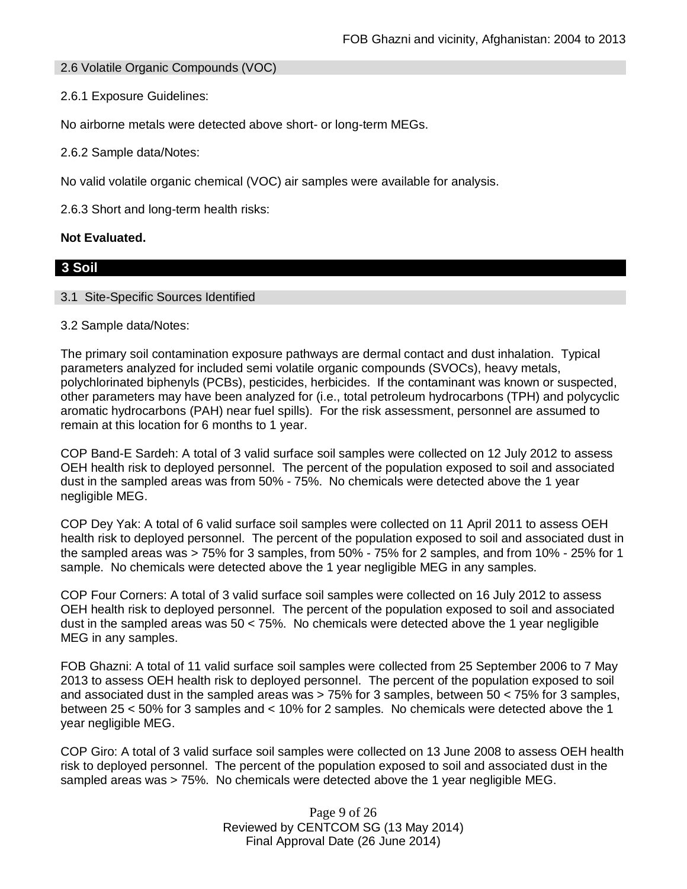### 2.6 Volatile Organic Compounds (VOC)

2.6.1 Exposure Guidelines:

No airborne metals were detected above short- or long-term MEGs.

2.6.2 Sample data/Notes:

No valid volatile organic chemical (VOC) air samples were available for analysis.

2.6.3 Short and long-term health risks:

#### **Not Evaluated.**

# **3 Soil**

#### 3.1 Site-Specific Sources Identified

#### 3.2 Sample data/Notes:

The primary soil contamination exposure pathways are dermal contact and dust inhalation. Typical parameters analyzed for included semi volatile organic compounds (SVOCs), heavy metals, polychlorinated biphenyls (PCBs), pesticides, herbicides. If the contaminant was known or suspected, other parameters may have been analyzed for (i.e., total petroleum hydrocarbons (TPH) and polycyclic aromatic hydrocarbons (PAH) near fuel spills). For the risk assessment, personnel are assumed to remain at this location for 6 months to 1 year.

COP Band-E Sardeh: A total of 3 valid surface soil samples were collected on 12 July 2012 to assess OEH health risk to deployed personnel. The percent of the population exposed to soil and associated dust in the sampled areas was from 50% - 75%. No chemicals were detected above the 1 year negligible MEG.

COP Dey Yak: A total of 6 valid surface soil samples were collected on 11 April 2011 to assess OEH health risk to deployed personnel. The percent of the population exposed to soil and associated dust in the sampled areas was > 75% for 3 samples, from 50% - 75% for 2 samples, and from 10% - 25% for 1 sample. No chemicals were detected above the 1 year negligible MEG in any samples.

COP Four Corners: A total of 3 valid surface soil samples were collected on 16 July 2012 to assess OEH health risk to deployed personnel. The percent of the population exposed to soil and associated dust in the sampled areas was 50 < 75%. No chemicals were detected above the 1 year negligible MEG in any samples.

FOB Ghazni: A total of 11 valid surface soil samples were collected from 25 September 2006 to 7 May 2013 to assess OEH health risk to deployed personnel. The percent of the population exposed to soil and associated dust in the sampled areas was > 75% for 3 samples, between 50 < 75% for 3 samples, between 25 < 50% for 3 samples and < 10% for 2 samples. No chemicals were detected above the 1 year negligible MEG.

COP Giro: A total of 3 valid surface soil samples were collected on 13 June 2008 to assess OEH health risk to deployed personnel. The percent of the population exposed to soil and associated dust in the sampled areas was > 75%. No chemicals were detected above the 1 year negligible MEG.

> Page 9 of 26 Reviewed by CENTCOM SG (13 May 2014) Final Approval Date (26 June 2014)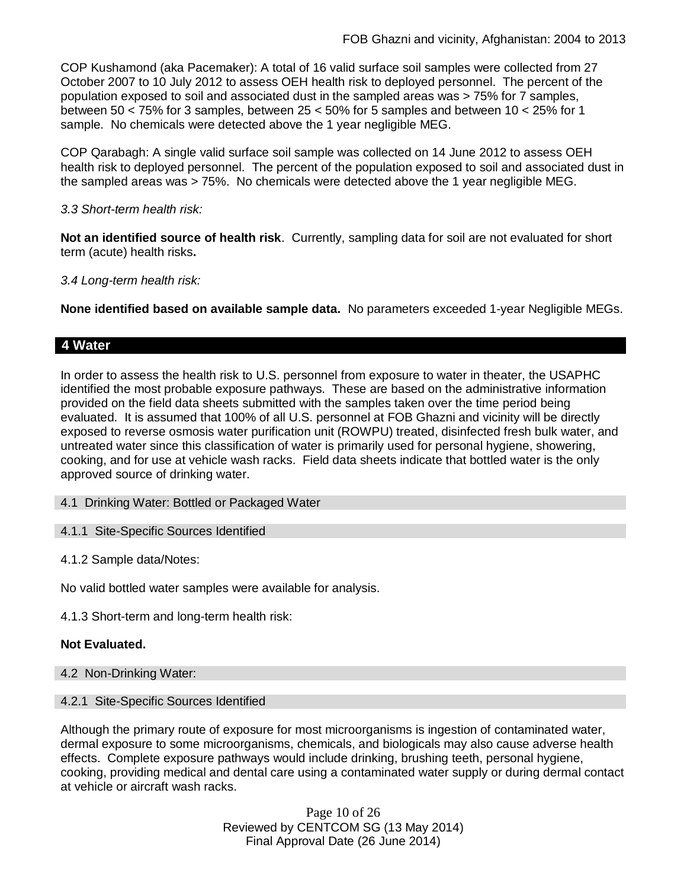COP Kushamond (aka Pacemaker): A total of 16 valid surface soil samples were collected from 27 October 2007 to 10 July 2012 to assess OEH health risk to deployed personnel. The percent of the population exposed to soil and associated dust in the sampled areas was > 75% for 7 samples, between 50 < 75% for 3 samples, between 25 < 50% for 5 samples and between 10 < 25% for 1 sample. No chemicals were detected above the 1 year negligible MEG.

COP Qarabagh: A single valid surface soil sample was collected on 14 June 2012 to assess OEH health risk to deployed personnel. The percent of the population exposed to soil and associated dust in the sampled areas was > 75%. No chemicals were detected above the 1 year negligible MEG.

### *3.3 Short-term health risk:*

**Not an identified source of health risk**. Currently, sampling data for soil are not evaluated for short term (acute) health risks**.**

### *3.4 Long-term health risk:*

**None identified based on available sample data.** No parameters exceeded 1-year Negligible MEGs.

### **4 Water**

In order to assess the health risk to U.S. personnel from exposure to water in theater, the USAPHC identified the most probable exposure pathways. These are based on the administrative information provided on the field data sheets submitted with the samples taken over the time period being evaluated. It is assumed that 100% of all U.S. personnel at FOB Ghazni and vicinity will be directly exposed to reverse osmosis water purification unit (ROWPU) treated, disinfected fresh bulk water, and untreated water since this classification of water is primarily used for personal hygiene, showering, cooking, and for use at vehicle wash racks. Field data sheets indicate that bottled water is the only approved source of drinking water.

#### 4.1 Drinking Water: Bottled or Packaged Water

#### 4.1.1 Site-Specific Sources Identified

4.1.2 Sample data/Notes:

No valid bottled water samples were available for analysis.

4.1.3 Short-term and long-term health risk:

### **Not Evaluated.**

4.2 Non-Drinking Water:

#### 4.2.1 Site-Specific Sources Identified

Although the primary route of exposure for most microorganisms is ingestion of contaminated water, dermal exposure to some microorganisms, chemicals, and biologicals may also cause adverse health effects. Complete exposure pathways would include drinking, brushing teeth, personal hygiene, cooking, providing medical and dental care using a contaminated water supply or during dermal contact at vehicle or aircraft wash racks.

> Page 10 of 26 Reviewed by CENTCOM SG (13 May 2014) Final Approval Date (26 June 2014)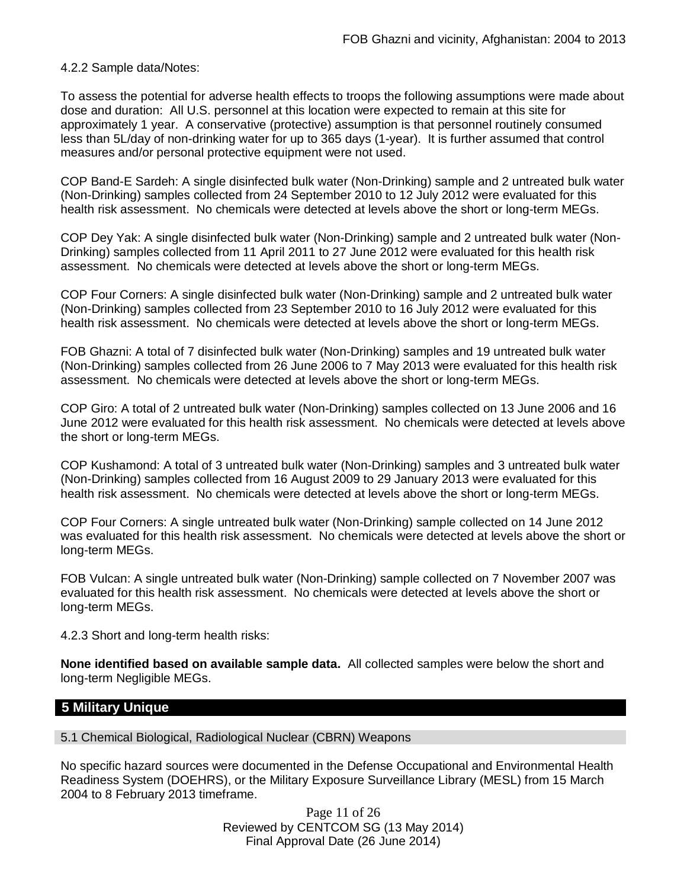4.2.2 Sample data/Notes:

To assess the potential for adverse health effects to troops the following assumptions were made about dose and duration: All U.S. personnel at this location were expected to remain at this site for approximately 1 year. A conservative (protective) assumption is that personnel routinely consumed less than 5L/day of non-drinking water for up to 365 days (1-year). It is further assumed that control measures and/or personal protective equipment were not used.

COP Band-E Sardeh: A single disinfected bulk water (Non-Drinking) sample and 2 untreated bulk water (Non-Drinking) samples collected from 24 September 2010 to 12 July 2012 were evaluated for this health risk assessment. No chemicals were detected at levels above the short or long-term MEGs.

COP Dey Yak: A single disinfected bulk water (Non-Drinking) sample and 2 untreated bulk water (Non-Drinking) samples collected from 11 April 2011 to 27 June 2012 were evaluated for this health risk assessment. No chemicals were detected at levels above the short or long-term MEGs.

COP Four Corners: A single disinfected bulk water (Non-Drinking) sample and 2 untreated bulk water (Non-Drinking) samples collected from 23 September 2010 to 16 July 2012 were evaluated for this health risk assessment. No chemicals were detected at levels above the short or long-term MEGs.

FOB Ghazni: A total of 7 disinfected bulk water (Non-Drinking) samples and 19 untreated bulk water (Non-Drinking) samples collected from 26 June 2006 to 7 May 2013 were evaluated for this health risk assessment. No chemicals were detected at levels above the short or long-term MEGs.

COP Giro: A total of 2 untreated bulk water (Non-Drinking) samples collected on 13 June 2006 and 16 June 2012 were evaluated for this health risk assessment. No chemicals were detected at levels above the short or long-term MEGs.

COP Kushamond: A total of 3 untreated bulk water (Non-Drinking) samples and 3 untreated bulk water (Non-Drinking) samples collected from 16 August 2009 to 29 January 2013 were evaluated for this health risk assessment. No chemicals were detected at levels above the short or long-term MEGs.

COP Four Corners: A single untreated bulk water (Non-Drinking) sample collected on 14 June 2012 was evaluated for this health risk assessment. No chemicals were detected at levels above the short or long-term MEGs.

FOB Vulcan: A single untreated bulk water (Non-Drinking) sample collected on 7 November 2007 was evaluated for this health risk assessment. No chemicals were detected at levels above the short or long-term MEGs.

4.2.3 Short and long-term health risks:

**None identified based on available sample data.** All collected samples were below the short and long-term Negligible MEGs.

## **5 Military Unique**

5.1 Chemical Biological, Radiological Nuclear (CBRN) Weapons

No specific hazard sources were documented in the Defense Occupational and Environmental Health Readiness System (DOEHRS), or the Military Exposure Surveillance Library (MESL) from 15 March 2004 to 8 February 2013 timeframe.

> Page 11 of 26 Reviewed by CENTCOM SG (13 May 2014) Final Approval Date (26 June 2014)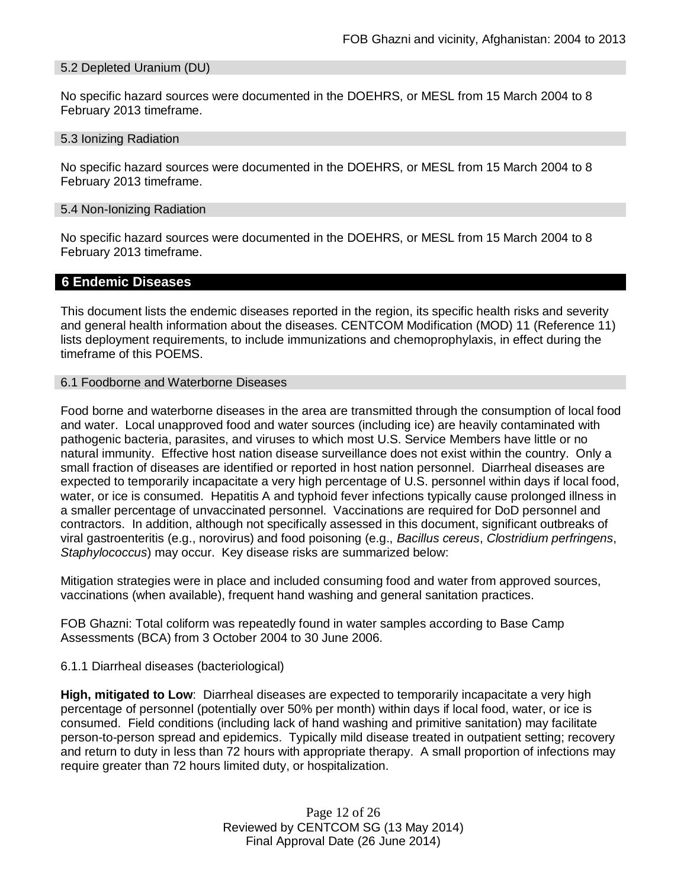#### 5.2 Depleted Uranium (DU)

No specific hazard sources were documented in the DOEHRS, or MESL from 15 March 2004 to 8 February 2013 timeframe.

#### 5.3 Ionizing Radiation

No specific hazard sources were documented in the DOEHRS, or MESL from 15 March 2004 to 8 February 2013 timeframe.

#### 5.4 Non-Ionizing Radiation

No specific hazard sources were documented in the DOEHRS, or MESL from 15 March 2004 to 8 February 2013 timeframe.

### **6 Endemic Diseases**

This document lists the endemic diseases reported in the region, its specific health risks and severity and general health information about the diseases. CENTCOM Modification (MOD) 11 (Reference 11) lists deployment requirements, to include immunizations and chemoprophylaxis, in effect during the timeframe of this POEMS.

#### 6.1 Foodborne and Waterborne Diseases

Food borne and waterborne diseases in the area are transmitted through the consumption of local food and water. Local unapproved food and water sources (including ice) are heavily contaminated with pathogenic bacteria, parasites, and viruses to which most U.S. Service Members have little or no natural immunity. Effective host nation disease surveillance does not exist within the country. Only a small fraction of diseases are identified or reported in host nation personnel. Diarrheal diseases are expected to temporarily incapacitate a very high percentage of U.S. personnel within days if local food, water, or ice is consumed. Hepatitis A and typhoid fever infections typically cause prolonged illness in a smaller percentage of unvaccinated personnel. Vaccinations are required for DoD personnel and contractors. In addition, although not specifically assessed in this document, significant outbreaks of viral gastroenteritis (e.g., norovirus) and food poisoning (e.g., *Bacillus cereus*, *Clostridium perfringens*, *Staphylococcus*) may occur. Key disease risks are summarized below:

Mitigation strategies were in place and included consuming food and water from approved sources, vaccinations (when available), frequent hand washing and general sanitation practices.

FOB Ghazni: Total coliform was repeatedly found in water samples according to Base Camp Assessments (BCA) from 3 October 2004 to 30 June 2006.

#### 6.1.1 Diarrheal diseases (bacteriological)

**High, mitigated to Low**: Diarrheal diseases are expected to temporarily incapacitate a very high percentage of personnel (potentially over 50% per month) within days if local food, water, or ice is consumed. Field conditions (including lack of hand washing and primitive sanitation) may facilitate person-to-person spread and epidemics. Typically mild disease treated in outpatient setting; recovery and return to duty in less than 72 hours with appropriate therapy. A small proportion of infections may require greater than 72 hours limited duty, or hospitalization.

> Page 12 of 26 Reviewed by CENTCOM SG (13 May 2014) Final Approval Date (26 June 2014)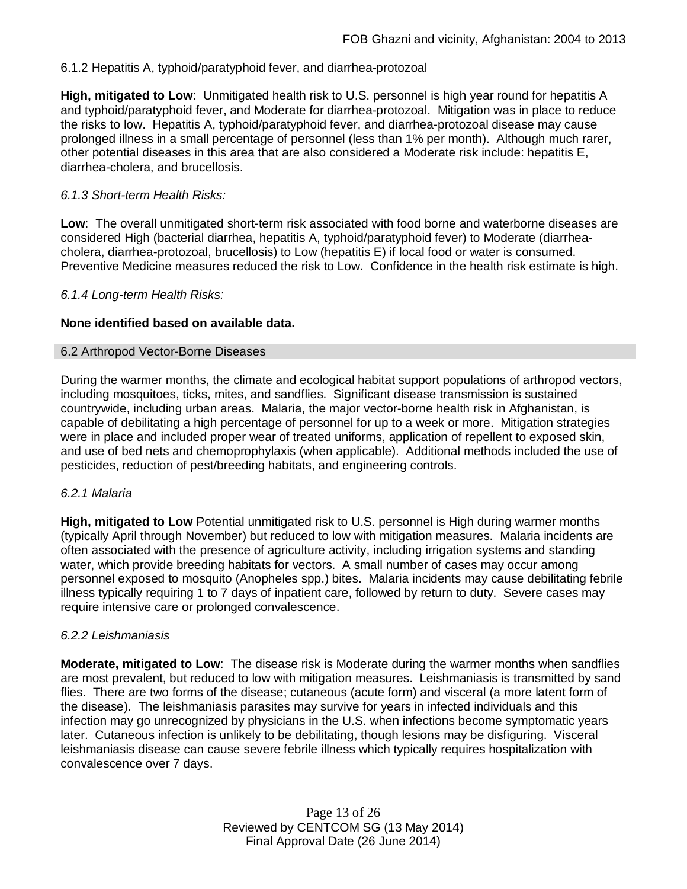### 6.1.2 Hepatitis A, typhoid/paratyphoid fever, and diarrhea-protozoal

**High, mitigated to Low**: Unmitigated health risk to U.S. personnel is high year round for hepatitis A and typhoid/paratyphoid fever, and Moderate for diarrhea-protozoal. Mitigation was in place to reduce the risks to low. Hepatitis A, typhoid/paratyphoid fever, and diarrhea-protozoal disease may cause prolonged illness in a small percentage of personnel (less than 1% per month). Although much rarer, other potential diseases in this area that are also considered a Moderate risk include: hepatitis E, diarrhea-cholera, and brucellosis.

### *6.1.3 Short-term Health Risks:*

**Low**: The overall unmitigated short-term risk associated with food borne and waterborne diseases are considered High (bacterial diarrhea, hepatitis A, typhoid/paratyphoid fever) to Moderate (diarrheacholera, diarrhea-protozoal, brucellosis) to Low (hepatitis E) if local food or water is consumed. Preventive Medicine measures reduced the risk to Low. Confidence in the health risk estimate is high.

#### *6.1.4 Long-term Health Risks:*

### **None identified based on available data.**

#### 6.2 Arthropod Vector-Borne Diseases

During the warmer months, the climate and ecological habitat support populations of arthropod vectors, including mosquitoes, ticks, mites, and sandflies. Significant disease transmission is sustained countrywide, including urban areas. Malaria, the major vector-borne health risk in Afghanistan, is capable of debilitating a high percentage of personnel for up to a week or more. Mitigation strategies were in place and included proper wear of treated uniforms, application of repellent to exposed skin, and use of bed nets and chemoprophylaxis (when applicable). Additional methods included the use of pesticides, reduction of pest/breeding habitats, and engineering controls.

#### *6.2.1 Malaria*

**High, mitigated to Low** Potential unmitigated risk to U.S. personnel is High during warmer months (typically April through November) but reduced to low with mitigation measures. Malaria incidents are often associated with the presence of agriculture activity, including irrigation systems and standing water, which provide breeding habitats for vectors. A small number of cases may occur among personnel exposed to mosquito (Anopheles spp.) bites. Malaria incidents may cause debilitating febrile illness typically requiring 1 to 7 days of inpatient care, followed by return to duty. Severe cases may require intensive care or prolonged convalescence.

#### *6.2.2 Leishmaniasis*

**Moderate, mitigated to Low**: The disease risk is Moderate during the warmer months when sandflies are most prevalent, but reduced to low with mitigation measures. Leishmaniasis is transmitted by sand flies. There are two forms of the disease; cutaneous (acute form) and visceral (a more latent form of the disease). The leishmaniasis parasites may survive for years in infected individuals and this infection may go unrecognized by physicians in the U.S. when infections become symptomatic years later. Cutaneous infection is unlikely to be debilitating, though lesions may be disfiguring. Visceral leishmaniasis disease can cause severe febrile illness which typically requires hospitalization with convalescence over 7 days.

> Page 13 of 26 Reviewed by CENTCOM SG (13 May 2014) Final Approval Date (26 June 2014)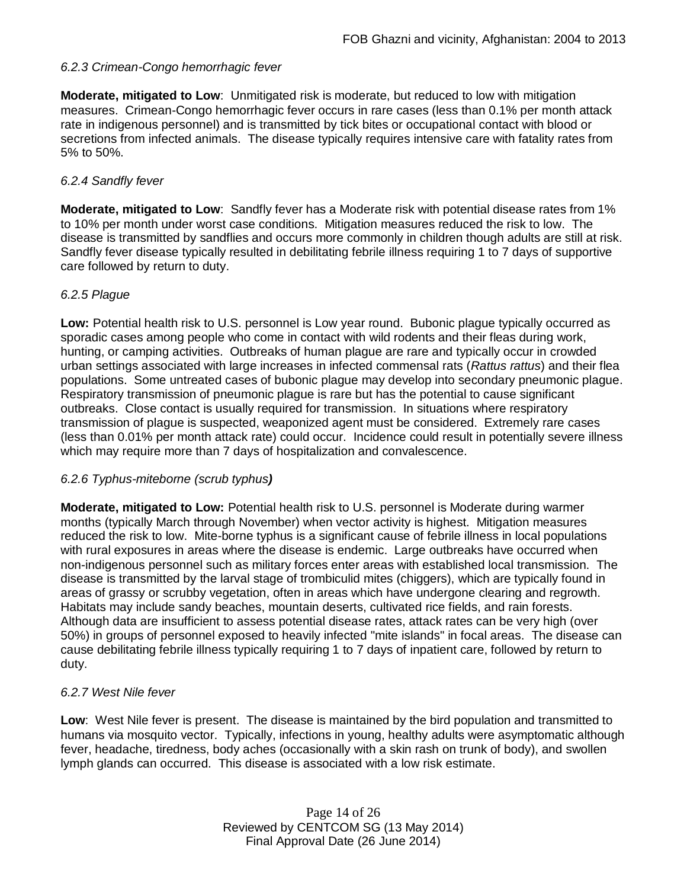## *6.2.3 Crimean-Congo hemorrhagic fever*

**Moderate, mitigated to Low**: Unmitigated risk is moderate, but reduced to low with mitigation measures. Crimean-Congo hemorrhagic fever occurs in rare cases (less than 0.1% per month attack rate in indigenous personnel) and is transmitted by tick bites or occupational contact with blood or secretions from infected animals. The disease typically requires intensive care with fatality rates from 5% to 50%.

### *6.2.4 Sandfly fever*

**Moderate, mitigated to Low**: Sandfly fever has a Moderate risk with potential disease rates from 1% to 10% per month under worst case conditions. Mitigation measures reduced the risk to low. The disease is transmitted by sandflies and occurs more commonly in children though adults are still at risk. Sandfly fever disease typically resulted in debilitating febrile illness requiring 1 to 7 days of supportive care followed by return to duty.

### *6.2.5 Plague*

**Low:** Potential health risk to U.S. personnel is Low year round. Bubonic plague typically occurred as sporadic cases among people who come in contact with wild rodents and their fleas during work, hunting, or camping activities. Outbreaks of human plague are rare and typically occur in crowded urban settings associated with large increases in infected commensal rats (*Rattus rattus*) and their flea populations. Some untreated cases of bubonic plague may develop into secondary pneumonic plague. Respiratory transmission of pneumonic plague is rare but has the potential to cause significant outbreaks. Close contact is usually required for transmission. In situations where respiratory transmission of plague is suspected, weaponized agent must be considered. Extremely rare cases (less than 0.01% per month attack rate) could occur. Incidence could result in potentially severe illness which may require more than 7 days of hospitalization and convalescence.

#### *6.2.6 Typhus-miteborne (scrub typhus)*

**Moderate, mitigated to Low:** Potential health risk to U.S. personnel is Moderate during warmer months (typically March through November) when vector activity is highest. Mitigation measures reduced the risk to low. Mite-borne typhus is a significant cause of febrile illness in local populations with rural exposures in areas where the disease is endemic. Large outbreaks have occurred when non-indigenous personnel such as military forces enter areas with established local transmission. The disease is transmitted by the larval stage of trombiculid mites (chiggers), which are typically found in areas of grassy or scrubby vegetation, often in areas which have undergone clearing and regrowth. Habitats may include sandy beaches, mountain deserts, cultivated rice fields, and rain forests. Although data are insufficient to assess potential disease rates, attack rates can be very high (over 50%) in groups of personnel exposed to heavily infected "mite islands" in focal areas. The disease can cause debilitating febrile illness typically requiring 1 to 7 days of inpatient care, followed by return to duty.

### *6.2.7 West Nile fever*

**Low**: West Nile fever is present. The disease is maintained by the bird population and transmitted to humans via mosquito vector. Typically, infections in young, healthy adults were asymptomatic although fever, headache, tiredness, body aches (occasionally with a skin rash on trunk of body), and swollen lymph glands can occurred. This disease is associated with a low risk estimate.

> Page 14 of 26 Reviewed by CENTCOM SG (13 May 2014) Final Approval Date (26 June 2014)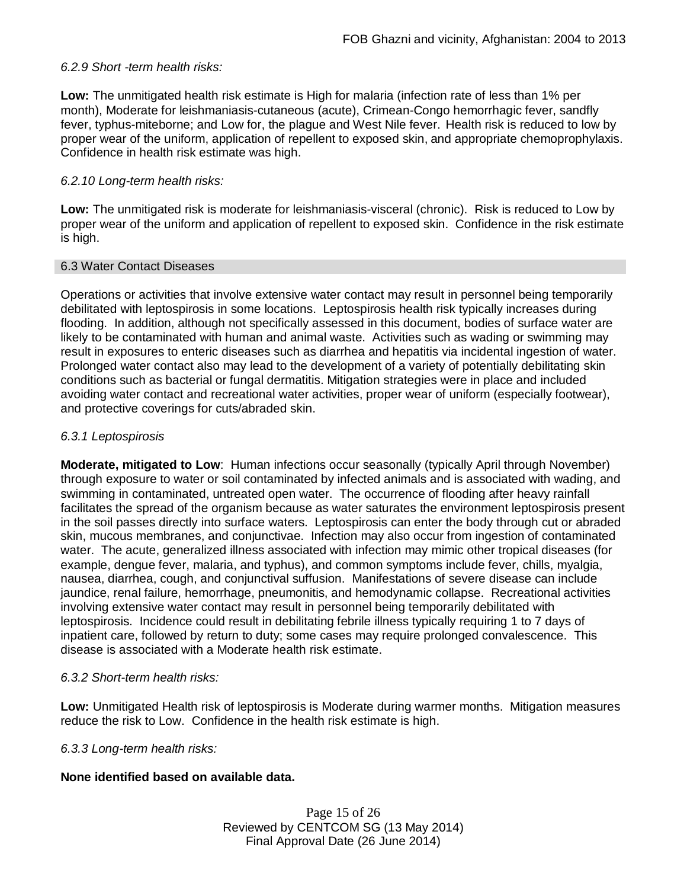### *6.2.9 Short -term health risks:*

**Low:** The unmitigated health risk estimate is High for malaria (infection rate of less than 1% per month), Moderate for leishmaniasis-cutaneous (acute), Crimean-Congo hemorrhagic fever, sandfly fever, typhus-miteborne; and Low for, the plague and West Nile fever. Health risk is reduced to low by proper wear of the uniform, application of repellent to exposed skin, and appropriate chemoprophylaxis. Confidence in health risk estimate was high.

### *6.2.10 Long-term health risks:*

**Low:** The unmitigated risk is moderate for leishmaniasis-visceral (chronic). Risk is reduced to Low by proper wear of the uniform and application of repellent to exposed skin. Confidence in the risk estimate is high.

#### 6.3 Water Contact Diseases

Operations or activities that involve extensive water contact may result in personnel being temporarily debilitated with leptospirosis in some locations. Leptospirosis health risk typically increases during flooding. In addition, although not specifically assessed in this document, bodies of surface water are likely to be contaminated with human and animal waste. Activities such as wading or swimming may result in exposures to enteric diseases such as diarrhea and hepatitis via incidental ingestion of water. Prolonged water contact also may lead to the development of a variety of potentially debilitating skin conditions such as bacterial or fungal dermatitis. Mitigation strategies were in place and included avoiding water contact and recreational water activities, proper wear of uniform (especially footwear), and protective coverings for cuts/abraded skin.

### *6.3.1 Leptospirosis*

**Moderate, mitigated to Low**: Human infections occur seasonally (typically April through November) through exposure to water or soil contaminated by infected animals and is associated with wading, and swimming in contaminated, untreated open water. The occurrence of flooding after heavy rainfall facilitates the spread of the organism because as water saturates the environment leptospirosis present in the soil passes directly into surface waters. Leptospirosis can enter the body through cut or abraded skin, mucous membranes, and conjunctivae. Infection may also occur from ingestion of contaminated water. The acute, generalized illness associated with infection may mimic other tropical diseases (for example, dengue fever, malaria, and typhus), and common symptoms include fever, chills, myalgia, nausea, diarrhea, cough, and conjunctival suffusion. Manifestations of severe disease can include jaundice, renal failure, hemorrhage, pneumonitis, and hemodynamic collapse. Recreational activities involving extensive water contact may result in personnel being temporarily debilitated with leptospirosis. Incidence could result in debilitating febrile illness typically requiring 1 to 7 days of inpatient care, followed by return to duty; some cases may require prolonged convalescence. This disease is associated with a Moderate health risk estimate.

#### *6.3.2 Short-term health risks:*

**Low:** Unmitigated Health risk of leptospirosis is Moderate during warmer months. Mitigation measures reduce the risk to Low. Confidence in the health risk estimate is high.

#### *6.3.3 Long-term health risks:*

### **None identified based on available data.**

Page 15 of 26 Reviewed by CENTCOM SG (13 May 2014) Final Approval Date (26 June 2014)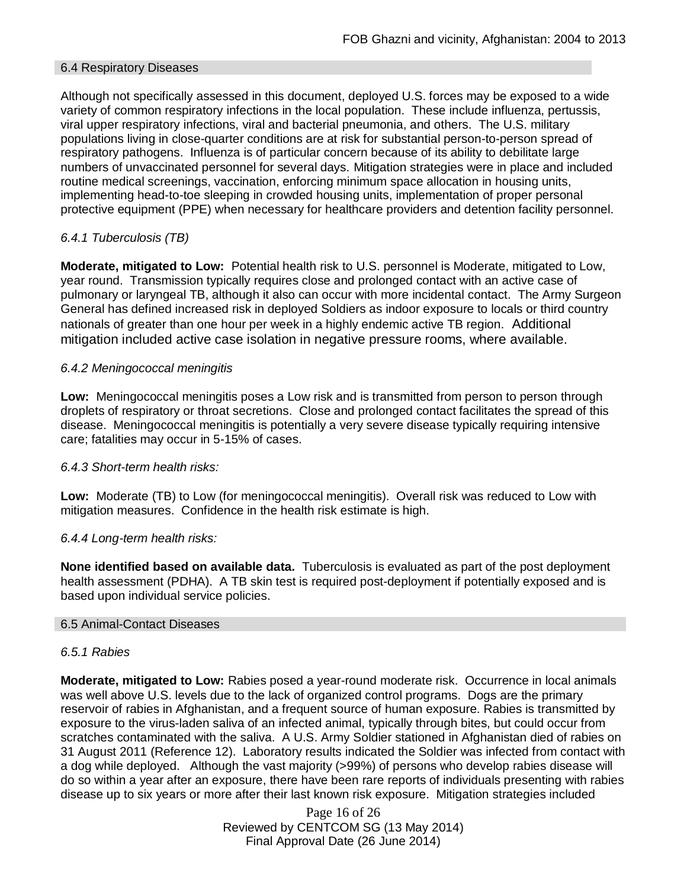#### 6.4 Respiratory Diseases

Although not specifically assessed in this document, deployed U.S. forces may be exposed to a wide variety of common respiratory infections in the local population. These include influenza, pertussis, viral upper respiratory infections, viral and bacterial pneumonia, and others. The U.S. military populations living in close-quarter conditions are at risk for substantial person-to-person spread of respiratory pathogens. Influenza is of particular concern because of its ability to debilitate large numbers of unvaccinated personnel for several days. Mitigation strategies were in place and included routine medical screenings, vaccination, enforcing minimum space allocation in housing units, implementing head-to-toe sleeping in crowded housing units, implementation of proper personal protective equipment (PPE) when necessary for healthcare providers and detention facility personnel.

# *6.4.1 Tuberculosis (TB)*

**Moderate, mitigated to Low:** Potential health risk to U.S. personnel is Moderate, mitigated to Low, year round. Transmission typically requires close and prolonged contact with an active case of pulmonary or laryngeal TB, although it also can occur with more incidental contact. The Army Surgeon General has defined increased risk in deployed Soldiers as indoor exposure to locals or third country nationals of greater than one hour per week in a highly endemic active TB region. Additional mitigation included active case isolation in negative pressure rooms, where available.

### *6.4.2 Meningococcal meningitis*

**Low:** Meningococcal meningitis poses a Low risk and is transmitted from person to person through droplets of respiratory or throat secretions. Close and prolonged contact facilitates the spread of this disease. Meningococcal meningitis is potentially a very severe disease typically requiring intensive care; fatalities may occur in 5-15% of cases.

#### *6.4.3 Short-term health risks:*

**Low:** Moderate (TB) to Low (for meningococcal meningitis). Overall risk was reduced to Low with mitigation measures. Confidence in the health risk estimate is high.

### *6.4.4 Long-term health risks:*

**None identified based on available data.** Tuberculosis is evaluated as part of the post deployment health assessment (PDHA). A TB skin test is required post-deployment if potentially exposed and is based upon individual service policies.

#### 6.5 Animal-Contact Diseases

#### *6.5.1 Rabies*

**Moderate, mitigated to Low:** Rabies posed a year-round moderate risk. Occurrence in local animals was well above U.S. levels due to the lack of organized control programs. Dogs are the primary reservoir of rabies in Afghanistan, and a frequent source of human exposure. Rabies is transmitted by exposure to the virus-laden saliva of an infected animal, typically through bites, but could occur from scratches contaminated with the saliva. A U.S. Army Soldier stationed in Afghanistan died of rabies on 31 August 2011 (Reference 12). Laboratory results indicated the Soldier was infected from contact with a dog while deployed. Although the vast majority (>99%) of persons who develop rabies disease will do so within a year after an exposure, there have been rare reports of individuals presenting with rabies disease up to six years or more after their last known risk exposure. Mitigation strategies included

> Page 16 of 26 Reviewed by CENTCOM SG (13 May 2014) Final Approval Date (26 June 2014)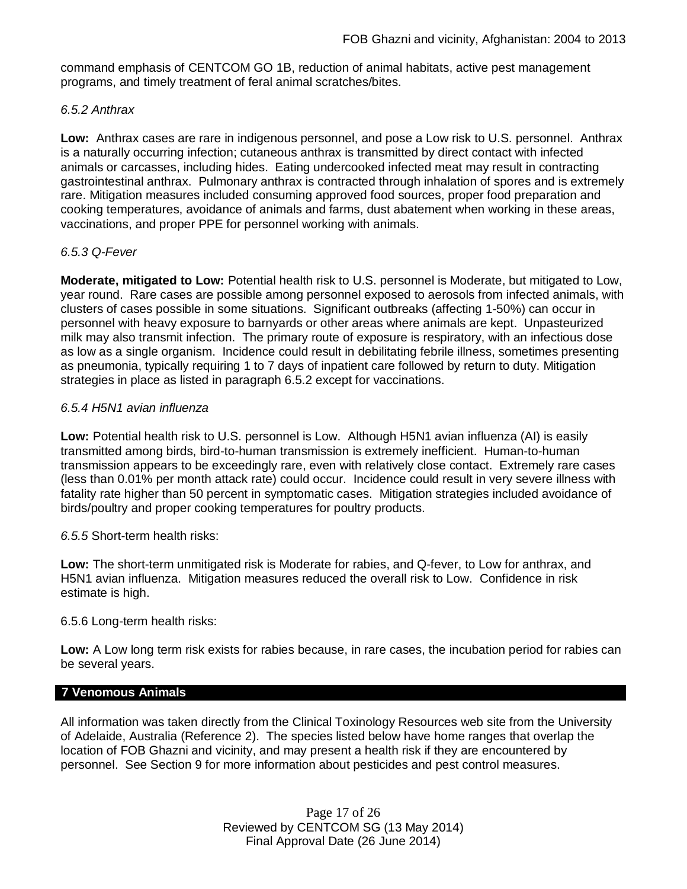command emphasis of CENTCOM GO 1B, reduction of animal habitats, active pest management programs, and timely treatment of feral animal scratches/bites.

### *6.5.2 Anthrax*

**Low:** Anthrax cases are rare in indigenous personnel, and pose a Low risk to U.S. personnel. Anthrax is a naturally occurring infection; cutaneous anthrax is transmitted by direct contact with infected animals or carcasses, including hides. Eating undercooked infected meat may result in contracting gastrointestinal anthrax. Pulmonary anthrax is contracted through inhalation of spores and is extremely rare. Mitigation measures included consuming approved food sources, proper food preparation and cooking temperatures, avoidance of animals and farms, dust abatement when working in these areas, vaccinations, and proper PPE for personnel working with animals.

### *6.5.3 Q-Fever*

**Moderate, mitigated to Low:** Potential health risk to U.S. personnel is Moderate, but mitigated to Low, year round. Rare cases are possible among personnel exposed to aerosols from infected animals, with clusters of cases possible in some situations. Significant outbreaks (affecting 1-50%) can occur in personnel with heavy exposure to barnyards or other areas where animals are kept. Unpasteurized milk may also transmit infection. The primary route of exposure is respiratory, with an infectious dose as low as a single organism. Incidence could result in debilitating febrile illness, sometimes presenting as pneumonia, typically requiring 1 to 7 days of inpatient care followed by return to duty. Mitigation strategies in place as listed in paragraph 6.5.2 except for vaccinations.

### *6.5.4 H5N1 avian influenza*

**Low:** Potential health risk to U.S. personnel is Low. Although H5N1 avian influenza (AI) is easily transmitted among birds, bird-to-human transmission is extremely inefficient. Human-to-human transmission appears to be exceedingly rare, even with relatively close contact. Extremely rare cases (less than 0.01% per month attack rate) could occur. Incidence could result in very severe illness with fatality rate higher than 50 percent in symptomatic cases. Mitigation strategies included avoidance of birds/poultry and proper cooking temperatures for poultry products.

#### *6.5.5* Short-term health risks:

**Low:** The short-term unmitigated risk is Moderate for rabies, and Q-fever, to Low for anthrax, and H5N1 avian influenza. Mitigation measures reduced the overall risk to Low. Confidence in risk estimate is high.

#### 6.5.6 Long-term health risks:

**Low:** A Low long term risk exists for rabies because, in rare cases, the incubation period for rabies can be several years.

#### **7 Venomous Animals**

All information was taken directly from the Clinical Toxinology Resources web site from the University of Adelaide, Australia (Reference 2). The species listed below have home ranges that overlap the location of FOB Ghazni and vicinity, and may present a health risk if they are encountered by personnel. See Section 9 for more information about pesticides and pest control measures.

> Page 17 of 26 Reviewed by CENTCOM SG (13 May 2014) Final Approval Date (26 June 2014)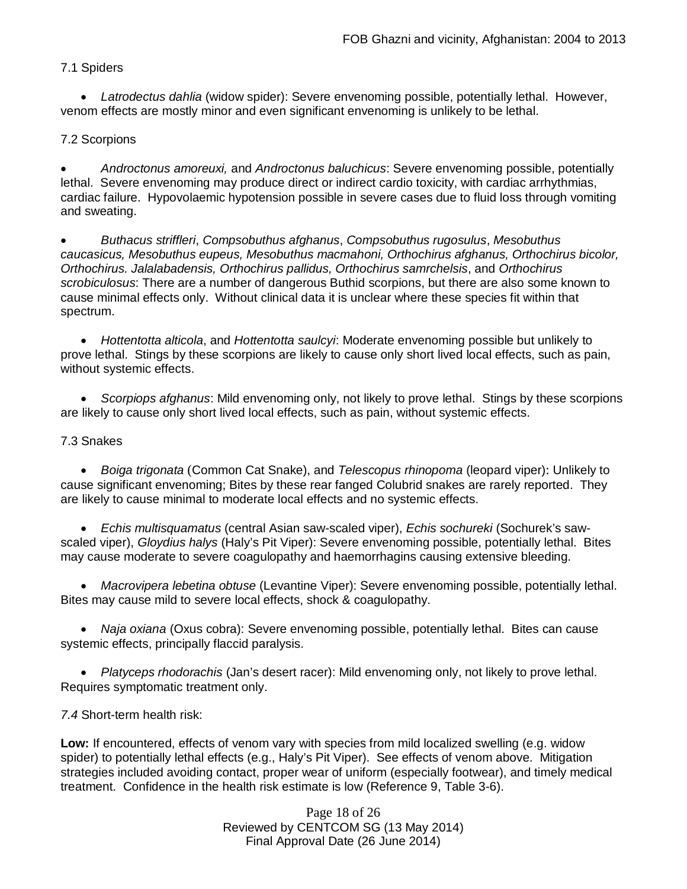## 7.1 Spiders

 *Latrodectus dahlia* (widow spider): Severe envenoming possible, potentially lethal. However, venom effects are mostly minor and even significant envenoming is unlikely to be lethal.

## 7.2 Scorpions

 *Androctonus amoreuxi,* and *Androctonus baluchicus*: Severe envenoming possible, potentially lethal. Severe envenoming may produce direct or indirect cardio toxicity, with cardiac arrhythmias, cardiac failure. Hypovolaemic hypotension possible in severe cases due to fluid loss through vomiting and sweating.

 *Buthacus striffleri*, *Compsobuthus afghanus*, *Compsobuthus rugosulus*, *Mesobuthus caucasicus, Mesobuthus eupeus, Mesobuthus macmahoni, Orthochirus afghanus, Orthochirus bicolor, Orthochirus. Jalalabadensis, Orthochirus pallidus, Orthochirus samrchelsis*, and *Orthochirus scrobiculosus*: There are a number of dangerous Buthid scorpions, but there are also some known to cause minimal effects only. Without clinical data it is unclear where these species fit within that spectrum.

 *Hottentotta alticola*, and *Hottentotta saulcyi*: Moderate envenoming possible but unlikely to prove lethal. Stings by these scorpions are likely to cause only short lived local effects, such as pain, without systemic effects.

 *Scorpiops afghanus*: Mild envenoming only, not likely to prove lethal. Stings by these scorpions are likely to cause only short lived local effects, such as pain, without systemic effects.

### 7.3 Snakes

 *Boiga trigonata* (Common Cat Snake), and *Telescopus rhinopoma* (leopard viper): Unlikely to cause significant envenoming; Bites by these rear fanged Colubrid snakes are rarely reported. They are likely to cause minimal to moderate local effects and no systemic effects.

 *Echis multisquamatus* (central Asian saw-scaled viper), *Echis sochureki* (Sochurek's sawscaled viper), *Gloydius halys* (Haly's Pit Viper): Severe envenoming possible, potentially lethal. Bites may cause moderate to severe coagulopathy and haemorrhagins causing extensive bleeding.

 *Macrovipera lebetina obtuse* (Levantine Viper): Severe envenoming possible, potentially lethal. Bites may cause mild to severe local effects, shock & coagulopathy.

 *Naja oxiana* (Oxus cobra): Severe envenoming possible, potentially lethal. Bites can cause systemic effects, principally flaccid paralysis.

 *Platyceps rhodorachis* (Jan's desert racer): Mild envenoming only, not likely to prove lethal. Requires symptomatic treatment only.

*7.4* Short-term health risk:

**Low:** If encountered, effects of venom vary with species from mild localized swelling (e.g. widow spider) to potentially lethal effects (e.g., Haly's Pit Viper). See effects of venom above. Mitigation strategies included avoiding contact, proper wear of uniform (especially footwear), and timely medical treatment. Confidence in the health risk estimate is low (Reference 9, Table 3-6).

> Page 18 of 26 Reviewed by CENTCOM SG (13 May 2014) Final Approval Date (26 June 2014)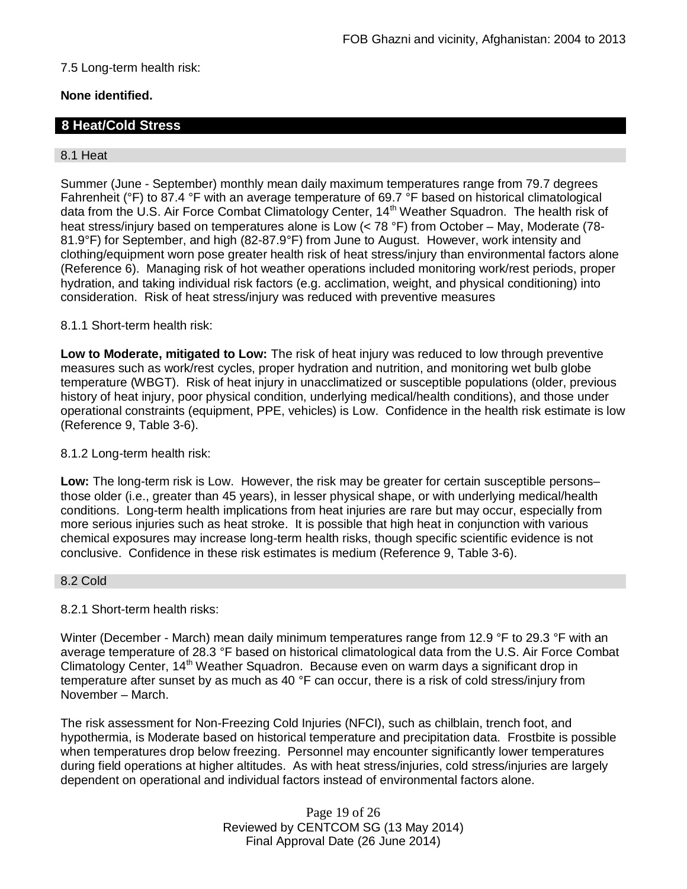## 7.5 Long-term health risk:

# **None identified.**

# **8 Heat/Cold Stress**

#### 8.1 Heat

Summer (June - September) monthly mean daily maximum temperatures range from 79.7 degrees Fahrenheit (°F) to 87.4 °F with an average temperature of 69.7 °F based on historical climatological data from the U.S. Air Force Combat Climatology Center, 14<sup>th</sup> Weather Squadron. The health risk of heat stress/injury based on temperatures alone is Low (< 78 °F) from October – May, Moderate (78-81.9°F) for September, and high (82-87.9°F) from June to August. However, work intensity and clothing/equipment worn pose greater health risk of heat stress/injury than environmental factors alone (Reference 6). Managing risk of hot weather operations included monitoring work/rest periods, proper hydration, and taking individual risk factors (e.g. acclimation, weight, and physical conditioning) into consideration. Risk of heat stress/injury was reduced with preventive measures

### 8.1.1 Short-term health risk:

**Low to Moderate, mitigated to Low:** The risk of heat injury was reduced to low through preventive measures such as work/rest cycles, proper hydration and nutrition, and monitoring wet bulb globe temperature (WBGT). Risk of heat injury in unacclimatized or susceptible populations (older, previous history of heat injury, poor physical condition, underlying medical/health conditions), and those under operational constraints (equipment, PPE, vehicles) is Low. Confidence in the health risk estimate is low (Reference 9, Table 3-6).

#### 8.1.2 Long-term health risk:

**Low:** The long-term risk is Low. However, the risk may be greater for certain susceptible persons– those older (i.e., greater than 45 years), in lesser physical shape, or with underlying medical/health conditions. Long-term health implications from heat injuries are rare but may occur, especially from more serious injuries such as heat stroke. It is possible that high heat in conjunction with various chemical exposures may increase long-term health risks, though specific scientific evidence is not conclusive. Confidence in these risk estimates is medium (Reference 9, Table 3-6).

### 8.2 Cold

### 8.2.1 Short-term health risks:

Winter (December - March) mean daily minimum temperatures range from 12.9 °F to 29.3 °F with an average temperature of 28.3 °F based on historical climatological data from the U.S. Air Force Combat Climatology Center, 14<sup>th</sup> Weather Squadron. Because even on warm days a significant drop in temperature after sunset by as much as 40 °F can occur, there is a risk of cold stress/injury from November – March.

The risk assessment for Non-Freezing Cold Injuries (NFCI), such as chilblain, trench foot, and hypothermia, is Moderate based on historical temperature and precipitation data. Frostbite is possible when temperatures drop below freezing. Personnel may encounter significantly lower temperatures during field operations at higher altitudes. As with heat stress/injuries, cold stress/injuries are largely dependent on operational and individual factors instead of environmental factors alone.

> Page 19 of 26 Reviewed by CENTCOM SG (13 May 2014) Final Approval Date (26 June 2014)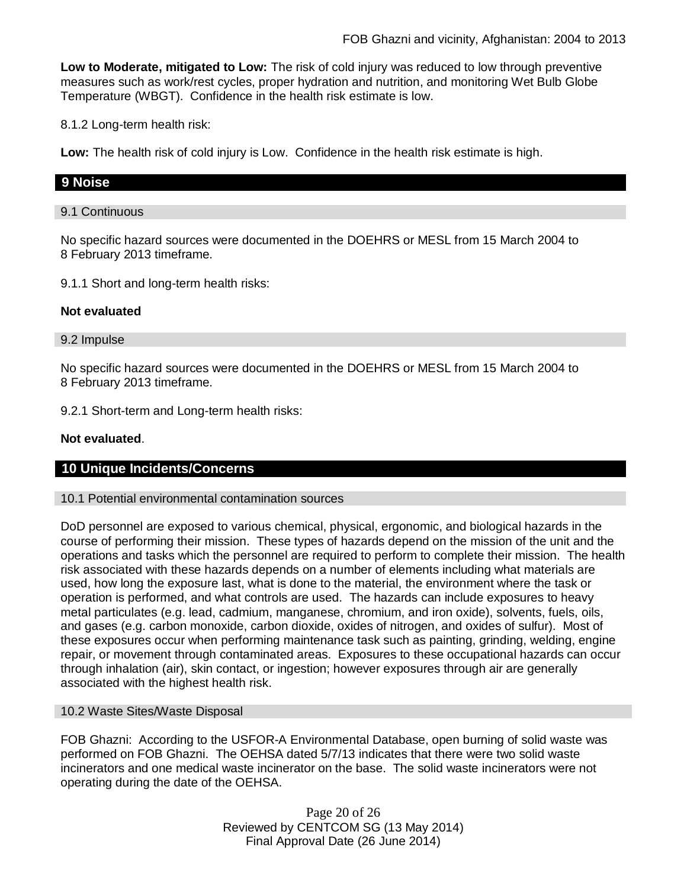**Low to Moderate, mitigated to Low:** The risk of cold injury was reduced to low through preventive measures such as work/rest cycles, proper hydration and nutrition, and monitoring Wet Bulb Globe Temperature (WBGT). Confidence in the health risk estimate is low.

8.1.2 Long-term health risk:

**Low:** The health risk of cold injury is Low. Confidence in the health risk estimate is high.

# **9 Noise**

#### 9.1 Continuous

No specific hazard sources were documented in the DOEHRS or MESL from 15 March 2004 to 8 February 2013 timeframe.

9.1.1 Short and long-term health risks:

### **Not evaluated**

#### 9.2 Impulse

No specific hazard sources were documented in the DOEHRS or MESL from 15 March 2004 to 8 February 2013 timeframe.

9.2.1 Short-term and Long-term health risks:

### **Not evaluated**.

### **10 Unique Incidents/Concerns**

#### 10.1 Potential environmental contamination sources

DoD personnel are exposed to various chemical, physical, ergonomic, and biological hazards in the course of performing their mission. These types of hazards depend on the mission of the unit and the operations and tasks which the personnel are required to perform to complete their mission. The health risk associated with these hazards depends on a number of elements including what materials are used, how long the exposure last, what is done to the material, the environment where the task or operation is performed, and what controls are used. The hazards can include exposures to heavy metal particulates (e.g. lead, cadmium, manganese, chromium, and iron oxide), solvents, fuels, oils, and gases (e.g. carbon monoxide, carbon dioxide, oxides of nitrogen, and oxides of sulfur). Most of these exposures occur when performing maintenance task such as painting, grinding, welding, engine repair, or movement through contaminated areas. Exposures to these occupational hazards can occur through inhalation (air), skin contact, or ingestion; however exposures through air are generally associated with the highest health risk.

#### 10.2 Waste Sites/Waste Disposal

FOB Ghazni: According to the USFOR-A Environmental Database, open burning of solid waste was performed on FOB Ghazni. The OEHSA dated 5/7/13 indicates that there were two solid waste incinerators and one medical waste incinerator on the base. The solid waste incinerators were not operating during the date of the OEHSA.

> Page 20 of 26 Reviewed by CENTCOM SG (13 May 2014) Final Approval Date (26 June 2014)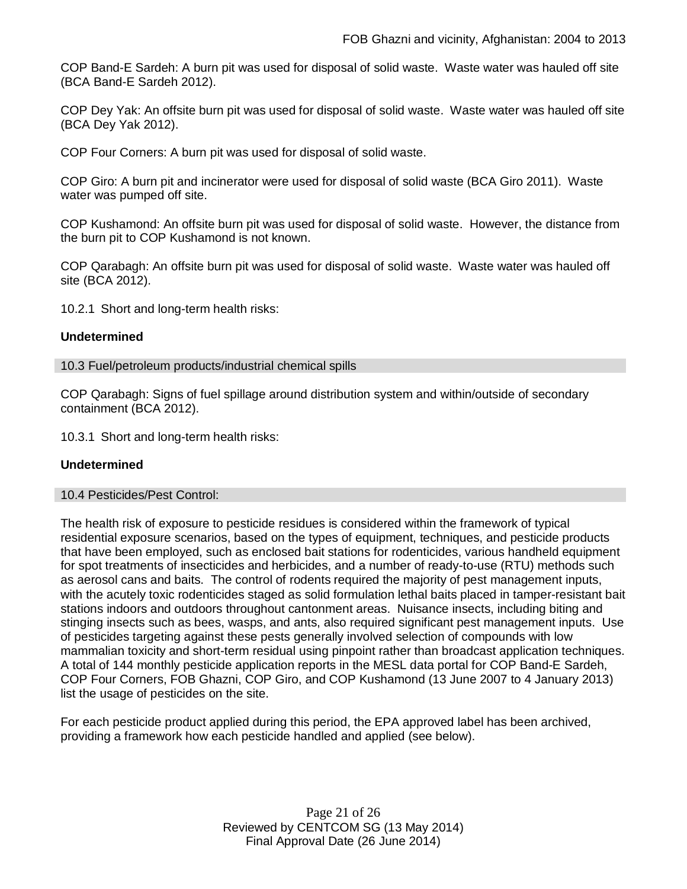COP Band-E Sardeh: A burn pit was used for disposal of solid waste. Waste water was hauled off site (BCA Band-E Sardeh 2012).

COP Dey Yak: An offsite burn pit was used for disposal of solid waste. Waste water was hauled off site (BCA Dey Yak 2012).

COP Four Corners: A burn pit was used for disposal of solid waste.

COP Giro: A burn pit and incinerator were used for disposal of solid waste (BCA Giro 2011). Waste water was pumped off site.

COP Kushamond: An offsite burn pit was used for disposal of solid waste. However, the distance from the burn pit to COP Kushamond is not known.

COP Qarabagh: An offsite burn pit was used for disposal of solid waste. Waste water was hauled off site (BCA 2012).

10.2.1 Short and long-term health risks:

#### **Undetermined**

#### 10.3 Fuel/petroleum products/industrial chemical spills

COP Qarabagh: Signs of fuel spillage around distribution system and within/outside of secondary containment (BCA 2012).

10.3.1 Short and long-term health risks:

#### **Undetermined**

#### 10.4 Pesticides/Pest Control:

The health risk of exposure to pesticide residues is considered within the framework of typical residential exposure scenarios, based on the types of equipment, techniques, and pesticide products that have been employed, such as enclosed bait stations for rodenticides, various handheld equipment for spot treatments of insecticides and herbicides, and a number of ready-to-use (RTU) methods such as aerosol cans and baits. The control of rodents required the majority of pest management inputs, with the acutely toxic rodenticides staged as solid formulation lethal baits placed in tamper-resistant bait stations indoors and outdoors throughout cantonment areas. Nuisance insects, including biting and stinging insects such as bees, wasps, and ants, also required significant pest management inputs. Use of pesticides targeting against these pests generally involved selection of compounds with low mammalian toxicity and short-term residual using pinpoint rather than broadcast application techniques. A total of 144 monthly pesticide application reports in the MESL data portal for COP Band-E Sardeh, COP Four Corners, FOB Ghazni, COP Giro, and COP Kushamond (13 June 2007 to 4 January 2013) list the usage of pesticides on the site.

For each pesticide product applied during this period, the EPA approved label has been archived, providing a framework how each pesticide handled and applied (see below).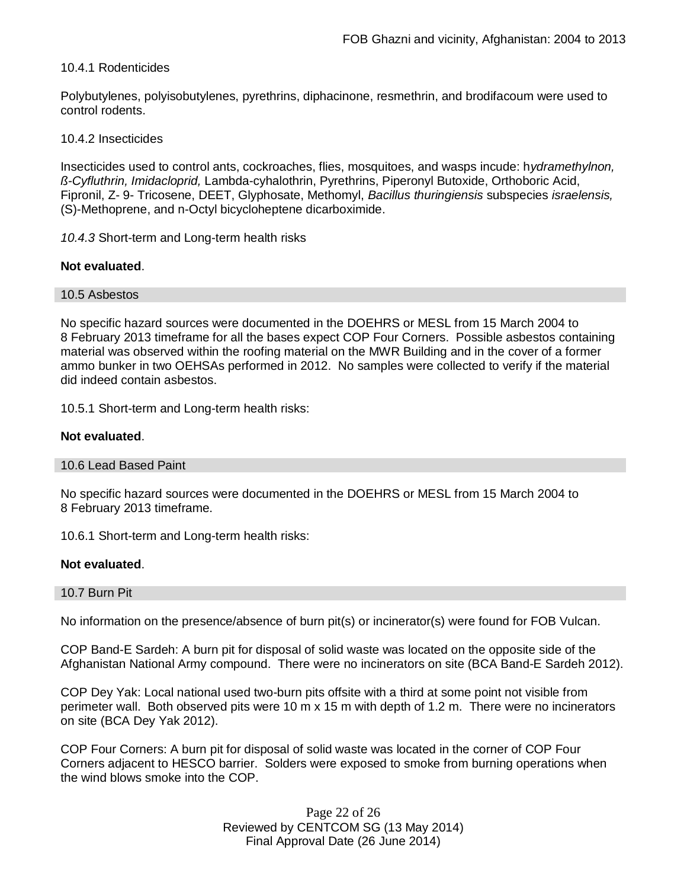### 10.4.1 Rodenticides

Polybutylenes, polyisobutylenes, pyrethrins, diphacinone, resmethrin, and brodifacoum were used to control rodents.

#### 10.4.2 Insecticides

Insecticides used to control ants, cockroaches, flies, mosquitoes, and wasps incude: h*ydramethylnon, ß-Cyfluthrin, Imidacloprid,* Lambda-cyhalothrin, Pyrethrins, Piperonyl Butoxide, Orthoboric Acid, Fipronil, Z- 9- Tricosene, DEET, Glyphosate, Methomyl, *Bacillus thuringiensis* subspecies *israelensis,* (S)-Methoprene, and n-Octyl bicycloheptene dicarboximide.

*10.4.3* Short-term and Long-term health risks

### **Not evaluated**.

#### 10.5 Asbestos

No specific hazard sources were documented in the DOEHRS or MESL from 15 March 2004 to 8 February 2013 timeframe for all the bases expect COP Four Corners. Possible asbestos containing material was observed within the roofing material on the MWR Building and in the cover of a former ammo bunker in two OEHSAs performed in 2012. No samples were collected to verify if the material did indeed contain asbestos.

10.5.1 Short-term and Long-term health risks:

### **Not evaluated**.

#### 10.6 Lead Based Paint

No specific hazard sources were documented in the DOEHRS or MESL from 15 March 2004 to 8 February 2013 timeframe.

10.6.1 Short-term and Long-term health risks:

#### **Not evaluated**.

#### 10.7 Burn Pit

No information on the presence/absence of burn pit(s) or incinerator(s) were found for FOB Vulcan.

COP Band-E Sardeh: A burn pit for disposal of solid waste was located on the opposite side of the Afghanistan National Army compound. There were no incinerators on site (BCA Band-E Sardeh 2012).

COP Dey Yak: Local national used two-burn pits offsite with a third at some point not visible from perimeter wall. Both observed pits were 10 m x 15 m with depth of 1.2 m. There were no incinerators on site (BCA Dey Yak 2012).

COP Four Corners: A burn pit for disposal of solid waste was located in the corner of COP Four Corners adjacent to HESCO barrier. Solders were exposed to smoke from burning operations when the wind blows smoke into the COP.

> Page 22 of 26 Reviewed by CENTCOM SG (13 May 2014) Final Approval Date (26 June 2014)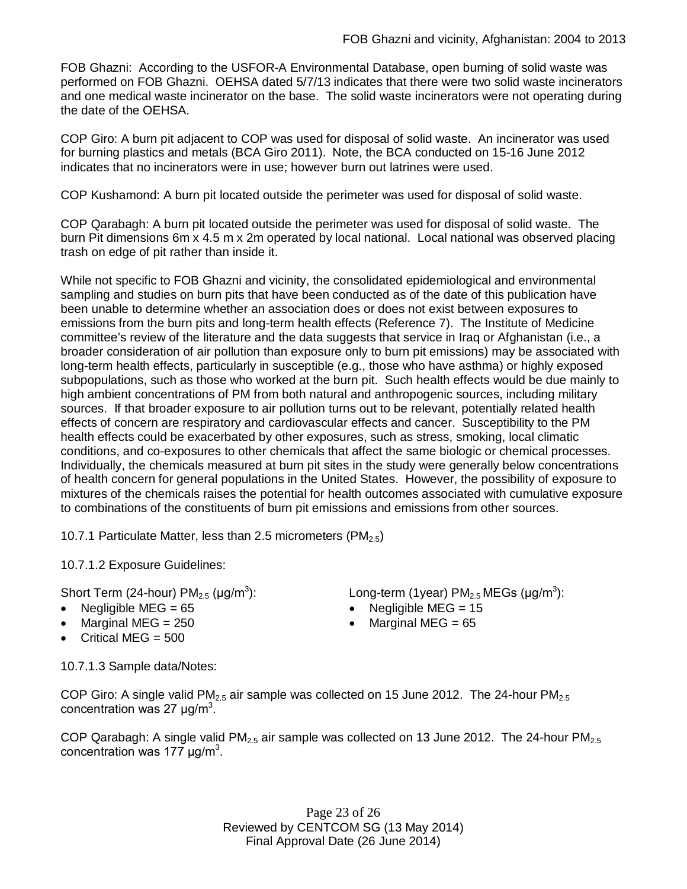FOB Ghazni: According to the USFOR-A Environmental Database, open burning of solid waste was performed on FOB Ghazni. OEHSA dated 5/7/13 indicates that there were two solid waste incinerators and one medical waste incinerator on the base. The solid waste incinerators were not operating during the date of the OEHSA.

COP Giro: A burn pit adjacent to COP was used for disposal of solid waste. An incinerator was used for burning plastics and metals (BCA Giro 2011). Note, the BCA conducted on 15-16 June 2012 indicates that no incinerators were in use; however burn out latrines were used.

COP Kushamond: A burn pit located outside the perimeter was used for disposal of solid waste.

COP Qarabagh: A burn pit located outside the perimeter was used for disposal of solid waste. The burn Pit dimensions 6m x 4.5 m x 2m operated by local national. Local national was observed placing trash on edge of pit rather than inside it.

While not specific to FOB Ghazni and vicinity, the consolidated epidemiological and environmental sampling and studies on burn pits that have been conducted as of the date of this publication have been unable to determine whether an association does or does not exist between exposures to emissions from the burn pits and long-term health effects (Reference 7). The Institute of Medicine committee's review of the literature and the data suggests that service in Iraq or Afghanistan (i.e., a broader consideration of air pollution than exposure only to burn pit emissions) may be associated with long-term health effects, particularly in susceptible (e.g., those who have asthma) or highly exposed subpopulations, such as those who worked at the burn pit. Such health effects would be due mainly to high ambient concentrations of PM from both natural and anthropogenic sources, including military sources. If that broader exposure to air pollution turns out to be relevant, potentially related health effects of concern are respiratory and cardiovascular effects and cancer. Susceptibility to the PM health effects could be exacerbated by other exposures, such as stress, smoking, local climatic conditions, and co-exposures to other chemicals that affect the same biologic or chemical processes. Individually, the chemicals measured at burn pit sites in the study were generally below concentrations of health concern for general populations in the United States. However, the possibility of exposure to mixtures of the chemicals raises the potential for health outcomes associated with cumulative exposure to combinations of the constituents of burn pit emissions and emissions from other sources.

10.7.1 Particulate Matter, less than 2.5 micrometers (PM<sub>2.5</sub>)

10.7.1.2 Exposure Guidelines:

Short Term (24-hour) PM $_{2.5}$  (µg/m $^3$ ):  $\qquad \qquad \textsf{Long-term (1year) PM}_{2.5} \, \textsf{MEGs (}\mu\textsf{g/m}^3\textsf{)}\textsf{:}$ 

- 
- Marginal MEG = 250 **e** Marginal MEG = 65
- Critical MEG  $= 500$

Negligible MEG = 65 Negligible MEG = 15

10.7.1.3 Sample data/Notes:

COP Giro: A single valid  $PM_{2.5}$  air sample was collected on 15 June 2012. The 24-hour  $PM_{2.5}$ concentration was 27  $\mu$ g/m<sup>3</sup>.

COP Qarabagh: A single valid PM<sub>2.5</sub> air sample was collected on 13 June 2012. The 24-hour PM<sub>2.5</sub> concentration was 177  $\mu$ g/m<sup>3</sup>.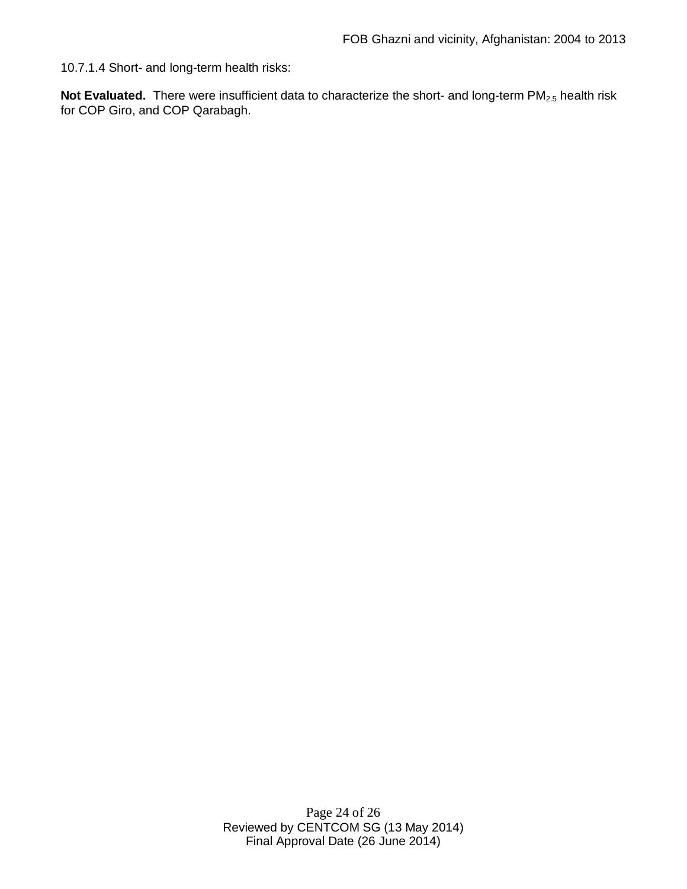10.7.1.4 Short- and long-term health risks:

Not Evaluated. There were insufficient data to characterize the short- and long-term PM<sub>2.5</sub> health risk for COP Giro, and COP Qarabagh.

> Page 24 of 26 Reviewed by CENTCOM SG (13 May 2014) Final Approval Date (26 June 2014)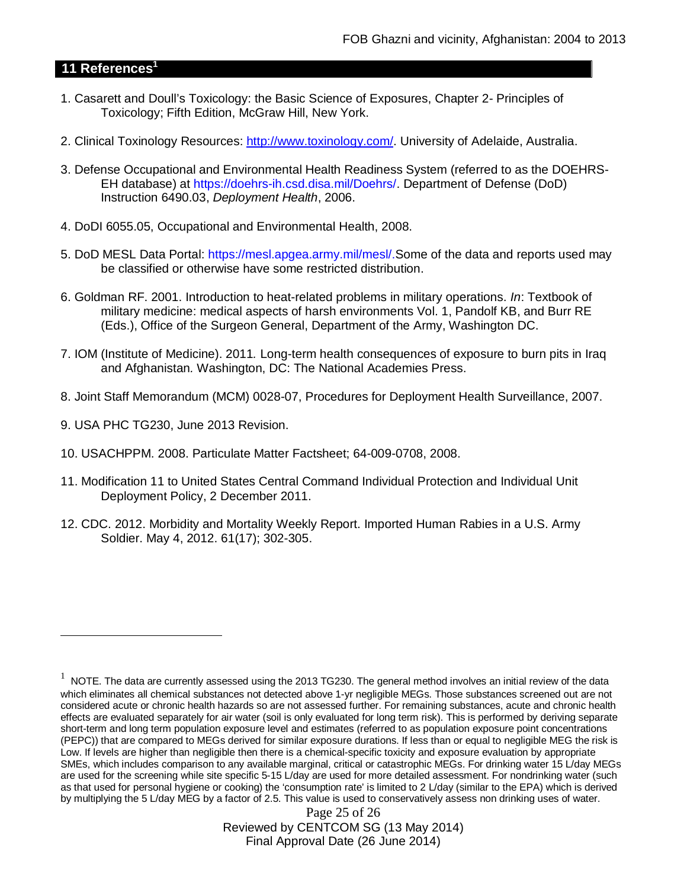# **11 References<sup>1</sup>**

- 1. Casarett and Doull's Toxicology: the Basic Science of Exposures, Chapter 2- Principles of Toxicology; Fifth Edition, McGraw Hill, New York.
- 2. Clinical Toxinology Resources: http://www.toxinology.com/. University of Adelaide, Australia.
- 3. Defense Occupational and Environmental Health Readiness System (referred to as the DOEHRS-EH database) at https://doehrs-ih.csd.disa.mil/Doehrs/. Department of Defense (DoD) Instruction 6490.03, *Deployment Health*, 2006.
- 4. DoDI 6055.05, Occupational and Environmental Health, 2008.
- 5. DoD MESL Data Portal: https://mesl.apgea.army.mil/mesl/.Some of the data and reports used may be classified or otherwise have some restricted distribution.
- 6. Goldman RF. 2001. Introduction to heat-related problems in military operations. *In*: Textbook of military medicine: medical aspects of harsh environments Vol. 1, Pandolf KB, and Burr RE (Eds.), Office of the Surgeon General, Department of the Army, Washington DC.
- 7. IOM (Institute of Medicine). 2011*.* Long-term health consequences of exposure to burn pits in Iraq and Afghanistan*.* Washington, DC: The National Academies Press.
- 8. Joint Staff Memorandum (MCM) 0028-07, Procedures for Deployment Health Surveillance, 2007.
- 9. USA PHC TG230, June 2013 Revision.
- 10. USACHPPM. 2008. Particulate Matter Factsheet; 64-009-0708, 2008.
- 11. Modification 11 to United States Central Command Individual Protection and Individual Unit Deployment Policy, 2 December 2011.
- 12. CDC. 2012. Morbidity and Mortality Weekly Report. Imported Human Rabies in a U.S. Army Soldier. May 4, 2012. 61(17); 302-305.

Page 25 of 26 Reviewed by CENTCOM SG (13 May 2014) Final Approval Date (26 June 2014)

<sup>1</sup> NOTE. The data are currently assessed using the 2013 TG230. The general method involves an initial review of the data which eliminates all chemical substances not detected above 1-yr negligible MEGs. Those substances screened out are not considered acute or chronic health hazards so are not assessed further. For remaining substances, acute and chronic health effects are evaluated separately for air water (soil is only evaluated for long term risk). This is performed by deriving separate short-term and long term population exposure level and estimates (referred to as population exposure point concentrations (PEPC)) that are compared to MEGs derived for similar exposure durations. If less than or equal to negligible MEG the risk is Low. If levels are higher than negligible then there is a chemical-specific toxicity and exposure evaluation by appropriate SMEs, which includes comparison to any available marginal, critical or catastrophic MEGs. For drinking water 15 L/day MEGs are used for the screening while site specific 5-15 L/day are used for more detailed assessment. For nondrinking water (such as that used for personal hygiene or cooking) the 'consumption rate' is limited to 2 L/day (similar to the EPA) which is derived by multiplying the 5 L/day MEG by a factor of 2.5. This value is used to conservatively assess non drinking uses of water.